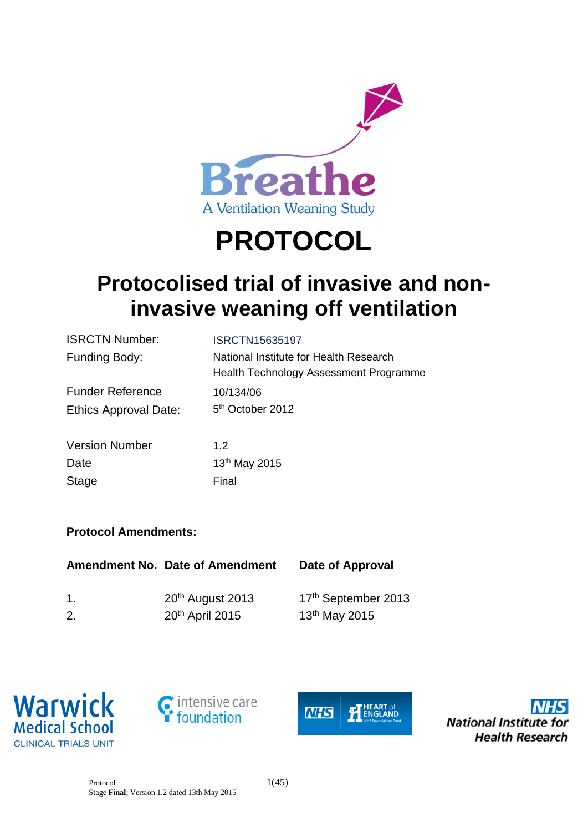

# **PROTOCOL**

# **Protocolised trial of invasive and noninvasive weaning off ventilation**

| <b>ISRCTN Number:</b>   | <b>ISRCTN15635197</b>                                                            |
|-------------------------|----------------------------------------------------------------------------------|
| <b>Funding Body:</b>    | National Institute for Health Research<br>Health Technology Assessment Programme |
| <b>Funder Reference</b> | 10/134/06                                                                        |
| Ethics Approval Date:   | 5 <sup>th</sup> October 2012                                                     |
| <b>Version Number</b>   | 1.2                                                                              |
| Date                    | 13 <sup>th</sup> May 2015                                                        |
| <b>Stage</b>            | Final                                                                            |

# **Protocol Amendments:**

|               | Amendment No. Date of Amendment | Date of Approval                |
|---------------|---------------------------------|---------------------------------|
| $\mathbf 1$ . | 20 <sup>th</sup> August 2013    | 17 <sup>th</sup> September 2013 |
| 2.            | 20 <sup>th</sup> April 2015     | 13 <sup>th</sup> May 2015       |
|               |                                 |                                 |
|               |                                 |                                 |







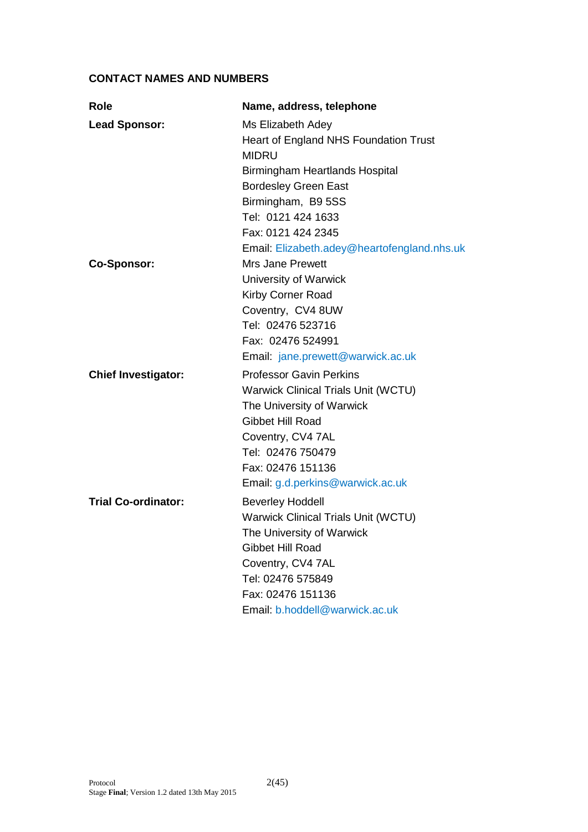# **CONTACT NAMES AND NUMBERS**

| Role                       | Name, address, telephone                    |
|----------------------------|---------------------------------------------|
| <b>Lead Sponsor:</b>       | Ms Elizabeth Adey                           |
|                            | Heart of England NHS Foundation Trust       |
|                            | <b>MIDRU</b>                                |
|                            | Birmingham Heartlands Hospital              |
|                            | <b>Bordesley Green East</b>                 |
|                            | Birmingham, B9 5SS                          |
|                            | Tel: 0121 424 1633                          |
|                            | Fax: 0121 424 2345                          |
|                            | Email: Elizabeth.adey@heartofengland.nhs.uk |
| <b>Co-Sponsor:</b>         | <b>Mrs Jane Prewett</b>                     |
|                            | University of Warwick                       |
|                            | Kirby Corner Road                           |
|                            | Coventry, CV4 8UW                           |
|                            | Tel: 02476 523716                           |
|                            | Fax: 02476 524991                           |
|                            | Email: jane.prewett@warwick.ac.uk           |
| <b>Chief Investigator:</b> | <b>Professor Gavin Perkins</b>              |
|                            | <b>Warwick Clinical Trials Unit (WCTU)</b>  |
|                            | The University of Warwick                   |
|                            | <b>Gibbet Hill Road</b>                     |
|                            | Coventry, CV4 7AL                           |
|                            | Tel: 02476 750479                           |
|                            | Fax: 02476 151136                           |
|                            | Email: g.d.perkins@warwick.ac.uk            |
| <b>Trial Co-ordinator:</b> | <b>Beverley Hoddell</b>                     |
|                            | <b>Warwick Clinical Trials Unit (WCTU)</b>  |
|                            | The University of Warwick                   |
|                            | Gibbet Hill Road                            |
|                            | Coventry, CV4 7AL                           |
|                            | Tel: 02476 575849                           |
|                            | Fax: 02476 151136                           |
|                            | Email: b.hoddell@warwick.ac.uk              |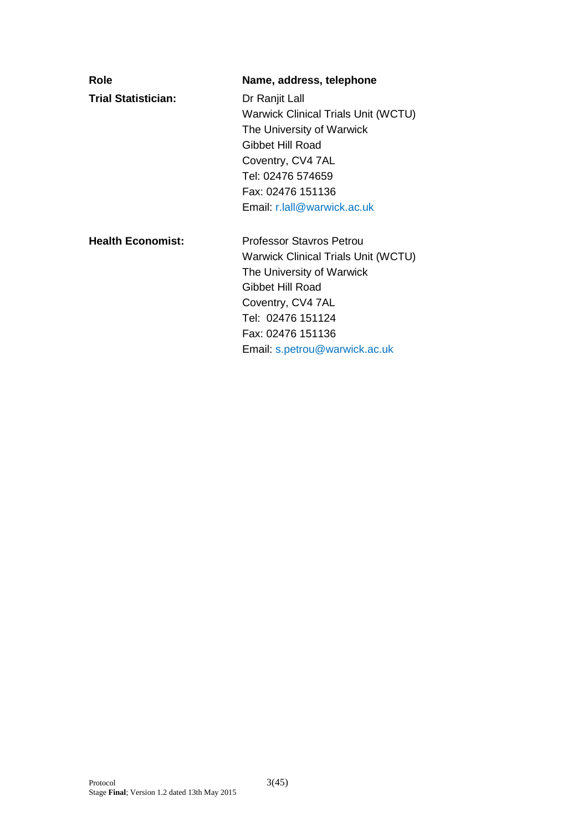| Role                       | Name, address, telephone                                                                                                                                                                                                       |
|----------------------------|--------------------------------------------------------------------------------------------------------------------------------------------------------------------------------------------------------------------------------|
| <b>Trial Statistician:</b> | Dr Ranjit Lall<br><b>Warwick Clinical Trials Unit (WCTU)</b><br>The University of Warwick<br>Gibbet Hill Road<br>Coventry, CV4 7AL<br>Tel: 02476 574659<br>Fax: 02476 151136<br>Email: r.lall@warwick.ac.uk                    |
| <b>Health Economist:</b>   | <b>Professor Stavros Petrou</b><br><b>Warwick Clinical Trials Unit (WCTU)</b><br>The University of Warwick<br>Gibbet Hill Road<br>Coventry, CV4 7AL<br>Tel: 02476 151124<br>Fax: 02476 151136<br>Email: s.petrou@warwick.ac.uk |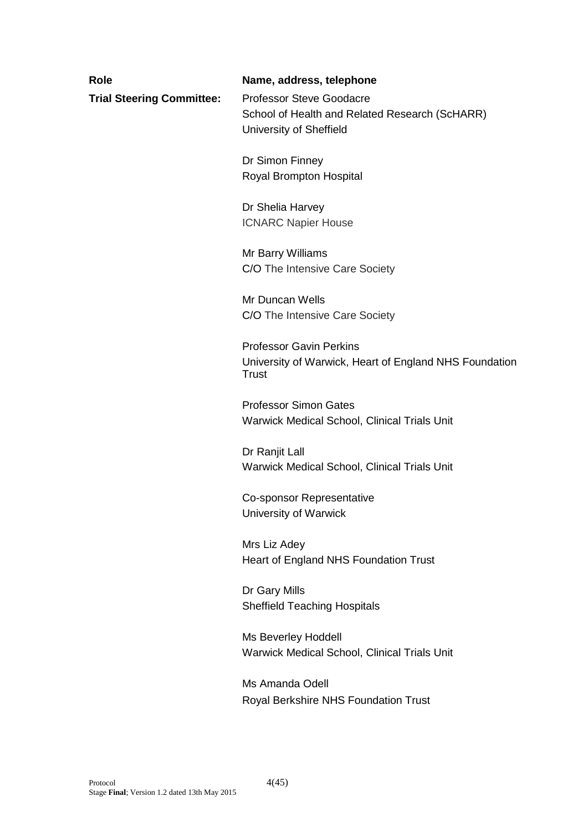| <b>Role</b>                      | Name, address, telephone                                                                                     |
|----------------------------------|--------------------------------------------------------------------------------------------------------------|
| <b>Trial Steering Committee:</b> | <b>Professor Steve Goodacre</b><br>School of Health and Related Research (ScHARR)<br>University of Sheffield |
|                                  | Dr Simon Finney<br>Royal Brompton Hospital                                                                   |
|                                  | Dr Shelia Harvey<br><b>ICNARC Napier House</b>                                                               |
|                                  | Mr Barry Williams<br>C/O The Intensive Care Society                                                          |
|                                  | Mr Duncan Wells<br>C/O The Intensive Care Society                                                            |
|                                  | <b>Professor Gavin Perkins</b><br>University of Warwick, Heart of England NHS Foundation<br><b>Trust</b>     |
|                                  | <b>Professor Simon Gates</b><br>Warwick Medical School, Clinical Trials Unit                                 |
|                                  | Dr Ranjit Lall<br>Warwick Medical School, Clinical Trials Unit                                               |
|                                  | <b>Co-sponsor Representative</b><br>University of Warwick                                                    |
|                                  | Mrs Liz Adey<br>Heart of England NHS Foundation Trust                                                        |
|                                  | Dr Gary Mills<br><b>Sheffield Teaching Hospitals</b>                                                         |
|                                  | Ms Beverley Hoddell<br>Warwick Medical School, Clinical Trials Unit                                          |
|                                  |                                                                                                              |

Ms Amanda Odell Royal Berkshire NHS Foundation Trust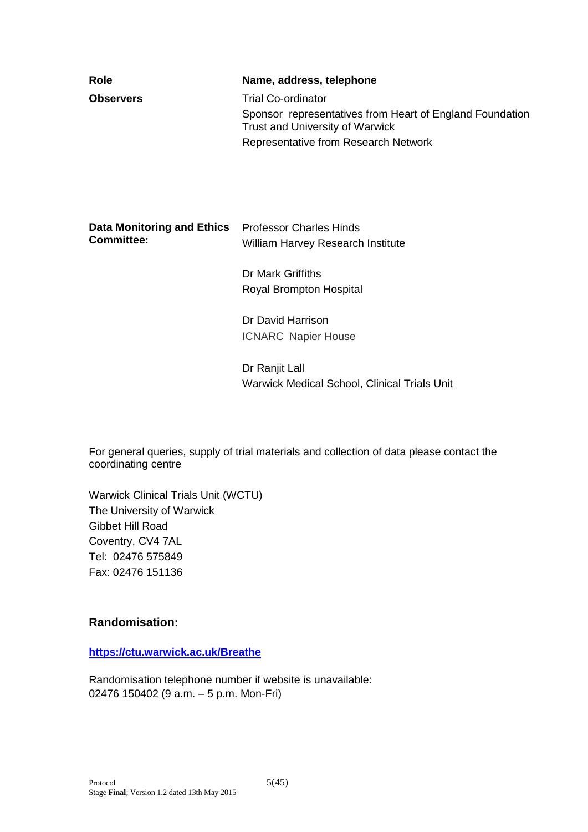| Role                              | Name, address, telephone                                                                           |
|-----------------------------------|----------------------------------------------------------------------------------------------------|
| <b>Observers</b>                  | <b>Trial Co-ordinator</b>                                                                          |
|                                   | Sponsor representatives from Heart of England Foundation<br><b>Trust and University of Warwick</b> |
|                                   | Representative from Research Network                                                               |
|                                   |                                                                                                    |
|                                   |                                                                                                    |
|                                   |                                                                                                    |
| <b>Data Monitoring and Ethics</b> | <b>Professor Charles Hinds</b>                                                                     |
| <b>Committee:</b>                 | William Harvey Research Institute                                                                  |
|                                   | Dr Mark Griffiths                                                                                  |
|                                   | Royal Brompton Hospital                                                                            |
|                                   | Dr David Harrison                                                                                  |
|                                   | <b>ICNARC Napier House</b>                                                                         |
|                                   | Dr Ranjit Lall                                                                                     |
|                                   | <b>Warwick Medical School, Clinical Trials Unit</b>                                                |
|                                   |                                                                                                    |

For general queries, supply of trial materials and collection of data please contact the coordinating centre

Warwick Clinical Trials Unit (WCTU) The University of Warwick Gibbet Hill Road Coventry, CV4 7AL Tel: 02476 575849 Fax: 02476 151136

#### **Randomisation:**

#### **<https://ctu.warwick.ac.uk/Breathe>**

Randomisation telephone number if website is unavailable: 02476 150402 (9 a.m. – 5 p.m. Mon-Fri)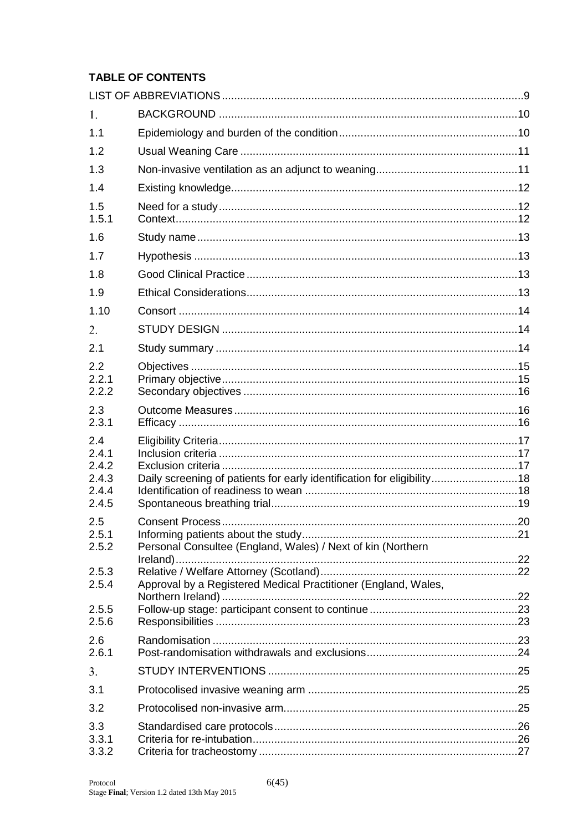# **TABLE OF CONTENTS**

| 1.                                               |                                                                        |  |
|--------------------------------------------------|------------------------------------------------------------------------|--|
| 1.1                                              |                                                                        |  |
| 1.2                                              |                                                                        |  |
| 1.3                                              |                                                                        |  |
| 1.4                                              |                                                                        |  |
| 1.5<br>1.5.1                                     |                                                                        |  |
| 1.6                                              |                                                                        |  |
| 1.7                                              |                                                                        |  |
| 1.8                                              |                                                                        |  |
| 1.9                                              |                                                                        |  |
| 1.10                                             |                                                                        |  |
| 2.                                               |                                                                        |  |
| 2.1                                              |                                                                        |  |
| 2.2<br>2.2.1<br>2.2.2                            |                                                                        |  |
| 2.3<br>2.3.1                                     |                                                                        |  |
| 2.4<br>2.4.1<br>2.4.2<br>2.4.3<br>2.4.4<br>2.4.5 | Daily screening of patients for early identification for eligibility18 |  |
| 2.5<br>2.5.1<br>2.5.2                            | Personal Consultee (England, Wales) / Next of kin (Northern            |  |
|                                                  |                                                                        |  |
| 2.5.3<br>2.5.4                                   | Approval by a Registered Medical Practitioner (England, Wales,         |  |
| 2.5.5<br>2.5.6                                   |                                                                        |  |
| 2.6<br>2.6.1                                     |                                                                        |  |
| 3.                                               |                                                                        |  |
| 3.1                                              |                                                                        |  |
| 3.2                                              |                                                                        |  |
| 3.3<br>3.3.1<br>3.3.2                            |                                                                        |  |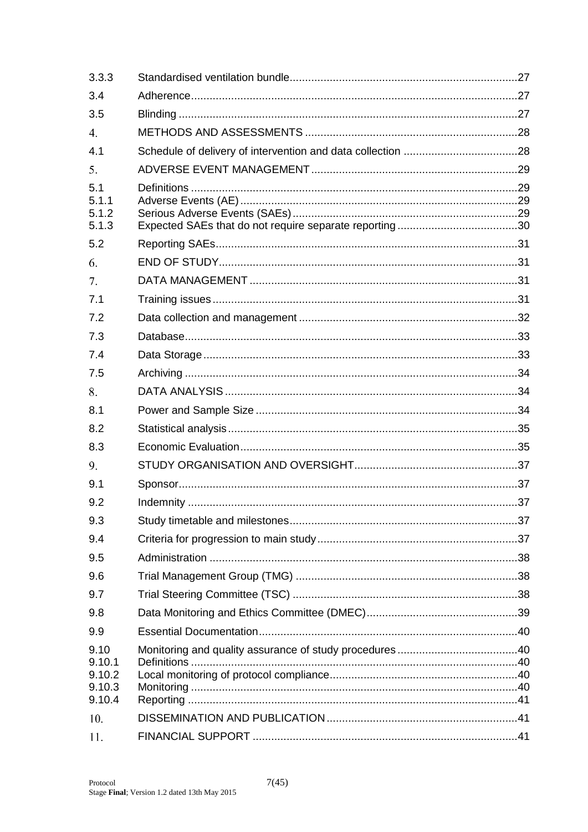| 3.3.3                                        |  |
|----------------------------------------------|--|
| 3.4                                          |  |
| 3.5                                          |  |
| 4.                                           |  |
| 4.1                                          |  |
| 5.                                           |  |
| 5.1<br>5.1.1<br>5.1.2<br>5.1.3               |  |
| 5.2                                          |  |
| 6.                                           |  |
| 7.                                           |  |
| 7.1                                          |  |
| 7.2                                          |  |
| 7.3                                          |  |
| 7.4                                          |  |
| 7.5                                          |  |
| 8.                                           |  |
| 8.1                                          |  |
| 8.2                                          |  |
| 8.3                                          |  |
| 9.                                           |  |
| 9.1                                          |  |
| 9.2                                          |  |
| 9.3                                          |  |
| 9.4                                          |  |
| 9.5                                          |  |
| 9.6                                          |  |
| 9.7                                          |  |
| 9.8                                          |  |
| 9.9                                          |  |
| 9.10<br>9.10.1<br>9.10.2<br>9.10.3<br>9.10.4 |  |
| 10.                                          |  |
| 11.                                          |  |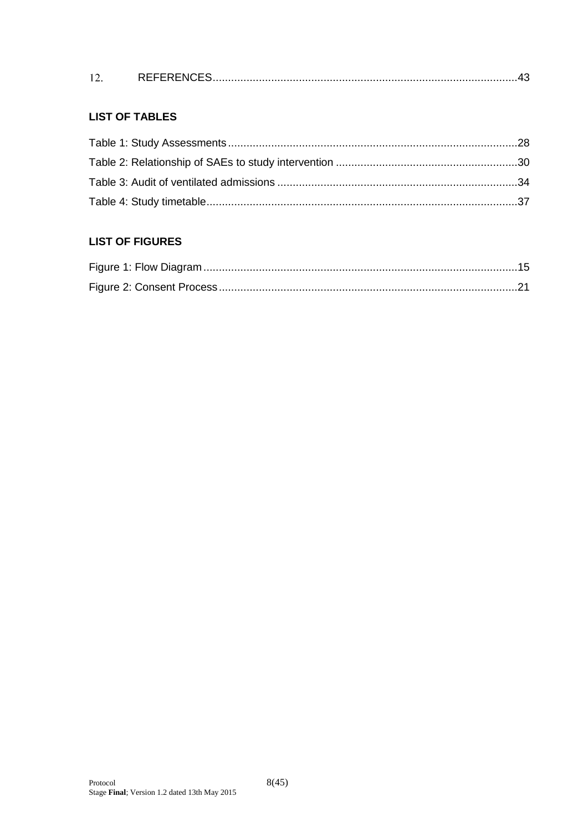|  | <b>DEFEDENAEA</b> |  |  |
|--|-------------------|--|--|
|--|-------------------|--|--|

# **LIST OF TABLES**

# **LIST OF FIGURES**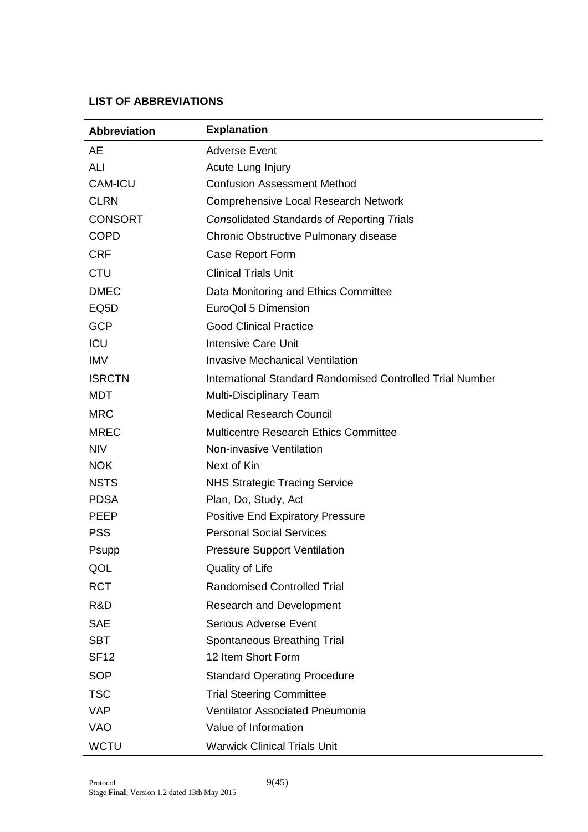#### <span id="page-8-0"></span>**LIST OF ABBREVIATIONS**

| <b>Abbreviation</b> | <b>Explanation</b>                                        |
|---------------------|-----------------------------------------------------------|
| <b>AE</b>           | <b>Adverse Event</b>                                      |
| ALI                 | Acute Lung Injury                                         |
| <b>CAM-ICU</b>      | <b>Confusion Assessment Method</b>                        |
| <b>CLRN</b>         | <b>Comprehensive Local Research Network</b>               |
| <b>CONSORT</b>      | Consolidated Standards of Reporting Trials                |
| <b>COPD</b>         | Chronic Obstructive Pulmonary disease                     |
| <b>CRF</b>          | Case Report Form                                          |
| <b>CTU</b>          | <b>Clinical Trials Unit</b>                               |
| <b>DMEC</b>         | Data Monitoring and Ethics Committee                      |
| EQ <sub>5</sub> D   | EuroQol 5 Dimension                                       |
| <b>GCP</b>          | <b>Good Clinical Practice</b>                             |
| <b>ICU</b>          | <b>Intensive Care Unit</b>                                |
| <b>IMV</b>          | <b>Invasive Mechanical Ventilation</b>                    |
| <b>ISRCTN</b>       | International Standard Randomised Controlled Trial Number |
| <b>MDT</b>          | <b>Multi-Disciplinary Team</b>                            |
| <b>MRC</b>          | <b>Medical Research Council</b>                           |
| <b>MREC</b>         | <b>Multicentre Research Ethics Committee</b>              |
| <b>NIV</b>          | Non-invasive Ventilation                                  |
| <b>NOK</b>          | Next of Kin                                               |
| <b>NSTS</b>         | <b>NHS Strategic Tracing Service</b>                      |
| <b>PDSA</b>         | Plan, Do, Study, Act                                      |
| <b>PEEP</b>         | <b>Positive End Expiratory Pressure</b>                   |
| <b>PSS</b>          | <b>Personal Social Services</b>                           |
| Psupp               | <b>Pressure Support Ventilation</b>                       |
| QOL                 | Quality of Life                                           |
| <b>RCT</b>          | <b>Randomised Controlled Trial</b>                        |
| R&D                 | <b>Research and Development</b>                           |
| <b>SAE</b>          | <b>Serious Adverse Event</b>                              |
| <b>SBT</b>          | Spontaneous Breathing Trial                               |
| <b>SF12</b>         | 12 Item Short Form                                        |
| <b>SOP</b>          | <b>Standard Operating Procedure</b>                       |
| <b>TSC</b>          | <b>Trial Steering Committee</b>                           |
| <b>VAP</b>          | <b>Ventilator Associated Pneumonia</b>                    |
| VAO                 | Value of Information                                      |
| <b>WCTU</b>         | <b>Warwick Clinical Trials Unit</b>                       |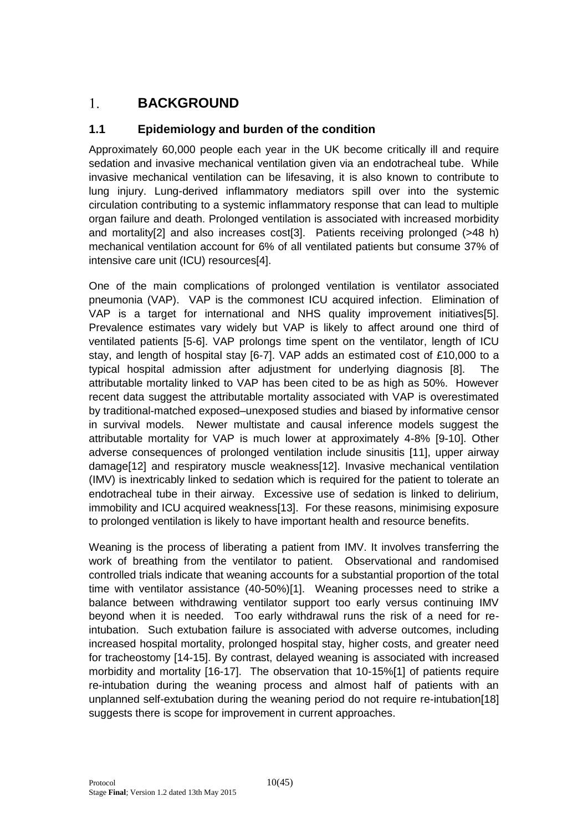#### <span id="page-9-0"></span>**BACKGROUND**   $1.$

# <span id="page-9-1"></span>**1.1 Epidemiology and burden of the condition**

Approximately 60,000 people each year in the UK become critically ill and require sedation and invasive mechanical ventilation given via an endotracheal tube. While invasive mechanical ventilation can be lifesaving, it is also known to contribute to lung injury. Lung-derived inflammatory mediators spill over into the systemic circulation contributing to a systemic inflammatory response that can lead to multiple organ failure and death. Prolonged ventilation is associated with increased morbidity and mortality<sup>[2]</sup> and also increases cost<sup>[3]</sup>. Patients receiving prolonged (>48 h) mechanical ventilation account for 6% of all ventilated patients but consume 37% of intensive care unit (ICU) resources[4].

One of the main complications of prolonged ventilation is ventilator associated pneumonia (VAP). VAP is the commonest ICU acquired infection. Elimination of VAP is a target for international and NHS quality improvement initiatives[5]. Prevalence estimates vary widely but VAP is likely to affect around one third of ventilated patients [5-6]. VAP prolongs time spent on the ventilator, length of ICU stay, and length of hospital stay [6-7]. VAP adds an estimated cost of £10,000 to a typical hospital admission after adjustment for underlying diagnosis [8]. The attributable mortality linked to VAP has been cited to be as high as 50%. However recent data suggest the attributable mortality associated with VAP is overestimated by traditional-matched exposed–unexposed studies and biased by informative censor in survival models. Newer multistate and causal inference models suggest the attributable mortality for VAP is much lower at approximately 4-8% [9-10]. Other adverse consequences of prolonged ventilation include sinusitis [11], upper airway damage[12] and respiratory muscle weakness[12]. Invasive mechanical ventilation (IMV) is inextricably linked to sedation which is required for the patient to tolerate an endotracheal tube in their airway. Excessive use of sedation is linked to delirium, immobility and ICU acquired weakness[13]. For these reasons, minimising exposure to prolonged ventilation is likely to have important health and resource benefits.

Weaning is the process of liberating a patient from IMV. It involves transferring the work of breathing from the ventilator to patient. Observational and randomised controlled trials indicate that weaning accounts for a substantial proportion of the total time with ventilator assistance (40-50%)[1]. Weaning processes need to strike a balance between withdrawing ventilator support too early versus continuing IMV beyond when it is needed. Too early withdrawal runs the risk of a need for reintubation. Such extubation failure is associated with adverse outcomes, including increased hospital mortality, prolonged hospital stay, higher costs, and greater need for tracheostomy [14-15]. By contrast, delayed weaning is associated with increased morbidity and mortality [16-17]. The observation that 10-15%[1] of patients require re-intubation during the weaning process and almost half of patients with an unplanned self-extubation during the weaning period do not require re-intubation[18] suggests there is scope for improvement in current approaches.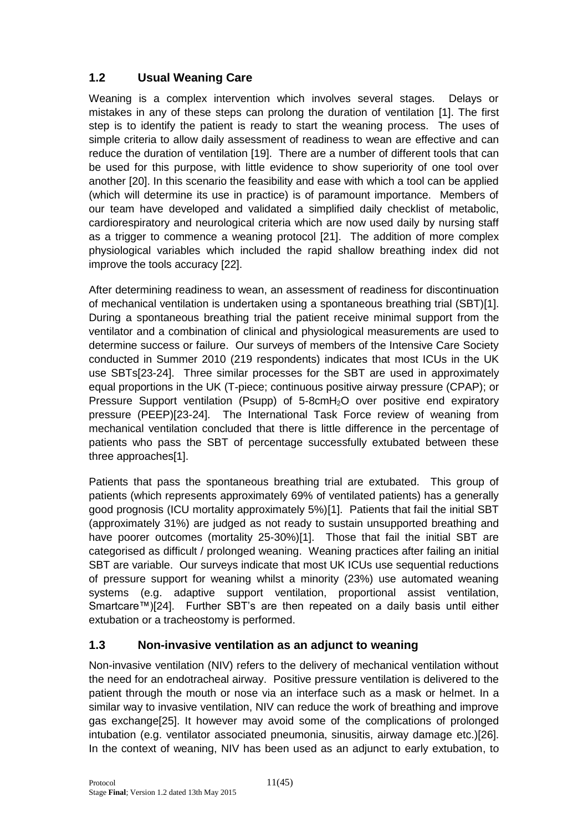# <span id="page-10-0"></span>**1.2 Usual Weaning Care**

Weaning is a complex intervention which involves several stages. Delays or mistakes in any of these steps can prolong the duration of ventilation [1]. The first step is to identify the patient is ready to start the weaning process. The uses of simple criteria to allow daily assessment of readiness to wean are effective and can reduce the duration of ventilation [19]. There are a number of different tools that can be used for this purpose, with little evidence to show superiority of one tool over another [20]. In this scenario the feasibility and ease with which a tool can be applied (which will determine its use in practice) is of paramount importance. Members of our team have developed and validated a simplified daily checklist of metabolic, cardiorespiratory and neurological criteria which are now used daily by nursing staff as a trigger to commence a weaning protocol [21]. The addition of more complex physiological variables which included the rapid shallow breathing index did not improve the tools accuracy [22].

After determining readiness to wean, an assessment of readiness for discontinuation of mechanical ventilation is undertaken using a spontaneous breathing trial (SBT)[1]. During a spontaneous breathing trial the patient receive minimal support from the ventilator and a combination of clinical and physiological measurements are used to determine success or failure. Our surveys of members of the Intensive Care Society conducted in Summer 2010 (219 respondents) indicates that most ICUs in the UK use SBTs[23-24]. Three similar processes for the SBT are used in approximately equal proportions in the UK (T-piece; continuous positive airway pressure (CPAP); or Pressure Support ventilation (Psupp) of 5-8cmH<sub>2</sub>O over positive end expiratory pressure (PEEP)[23-24]. The International Task Force review of weaning from mechanical ventilation concluded that there is little difference in the percentage of patients who pass the SBT of percentage successfully extubated between these three approaches[1].

Patients that pass the spontaneous breathing trial are extubated. This group of patients (which represents approximately 69% of ventilated patients) has a generally good prognosis (ICU mortality approximately 5%)[1]. Patients that fail the initial SBT (approximately 31%) are judged as not ready to sustain unsupported breathing and have poorer outcomes (mortality 25-30%)[1]. Those that fail the initial SBT are categorised as difficult / prolonged weaning. Weaning practices after failing an initial SBT are variable. Our surveys indicate that most UK ICUs use sequential reductions of pressure support for weaning whilst a minority (23%) use automated weaning systems (e.g. adaptive support ventilation, proportional assist ventilation, Smartcare™)[24]. Further SBT's are then repeated on a daily basis until either extubation or a tracheostomy is performed.

# <span id="page-10-1"></span>**1.3 Non-invasive ventilation as an adjunct to weaning**

Non-invasive ventilation (NIV) refers to the delivery of mechanical ventilation without the need for an endotracheal airway. Positive pressure ventilation is delivered to the patient through the mouth or nose via an interface such as a mask or helmet. In a similar way to invasive ventilation, NIV can reduce the work of breathing and improve gas exchange[25]. It however may avoid some of the complications of prolonged intubation (e.g. ventilator associated pneumonia, sinusitis, airway damage etc.)[26]. In the context of weaning, NIV has been used as an adjunct to early extubation, to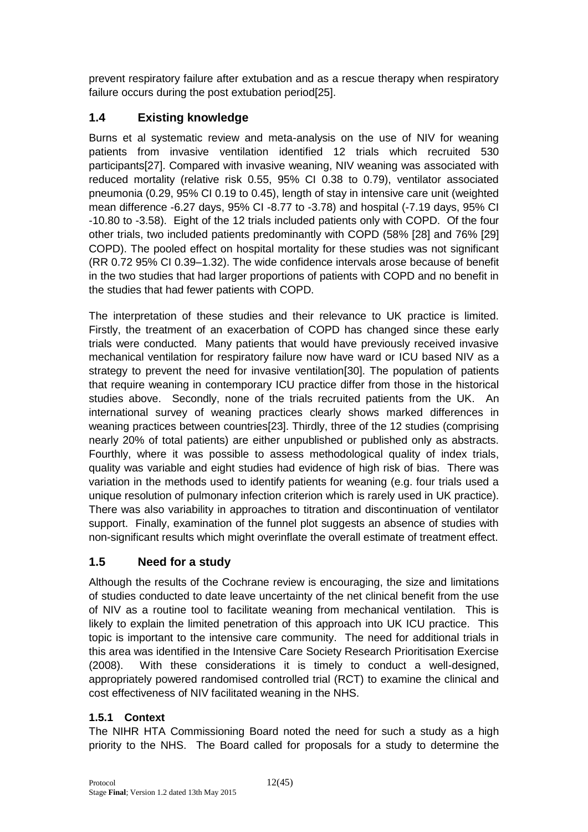prevent respiratory failure after extubation and as a rescue therapy when respiratory failure occurs during the post extubation period[25].

# <span id="page-11-0"></span>**1.4 Existing knowledge**

Burns et al systematic review and meta-analysis on the use of NIV for weaning patients from invasive ventilation identified 12 trials which recruited 530 participants[27]. Compared with invasive weaning, NIV weaning was associated with reduced mortality (relative risk 0.55, 95% CI 0.38 to 0.79), ventilator associated pneumonia (0.29, 95% CI 0.19 to 0.45), length of stay in intensive care unit (weighted mean difference -6.27 days, 95% CI -8.77 to -3.78) and hospital (-7.19 days, 95% CI -10.80 to -3.58). Eight of the 12 trials included patients only with COPD. Of the four other trials, two included patients predominantly with COPD (58% [28] and 76% [29] COPD). The pooled effect on hospital mortality for these studies was not significant (RR 0.72 95% CI 0.39–1.32). The wide confidence intervals arose because of benefit in the two studies that had larger proportions of patients with COPD and no benefit in the studies that had fewer patients with COPD.

The interpretation of these studies and their relevance to UK practice is limited. Firstly, the treatment of an exacerbation of COPD has changed since these early trials were conducted. Many patients that would have previously received invasive mechanical ventilation for respiratory failure now have ward or ICU based NIV as a strategy to prevent the need for invasive ventilation[30]. The population of patients that require weaning in contemporary ICU practice differ from those in the historical studies above. Secondly, none of the trials recruited patients from the UK. An international survey of weaning practices clearly shows marked differences in weaning practices between countries[23]. Thirdly, three of the 12 studies (comprising nearly 20% of total patients) are either unpublished or published only as abstracts. Fourthly, where it was possible to assess methodological quality of index trials, quality was variable and eight studies had evidence of high risk of bias. There was variation in the methods used to identify patients for weaning (e.g. four trials used a unique resolution of pulmonary infection criterion which is rarely used in UK practice). There was also variability in approaches to titration and discontinuation of ventilator support. Finally, examination of the funnel plot suggests an absence of studies with non-significant results which might overinflate the overall estimate of treatment effect.

# <span id="page-11-1"></span>**1.5 Need for a study**

Although the results of the Cochrane review is encouraging, the size and limitations of studies conducted to date leave uncertainty of the net clinical benefit from the use of NIV as a routine tool to facilitate weaning from mechanical ventilation. This is likely to explain the limited penetration of this approach into UK ICU practice. This topic is important to the intensive care community. The need for additional trials in this area was identified in the Intensive Care Society Research Prioritisation Exercise (2008). With these considerations it is timely to conduct a well-designed, appropriately powered randomised controlled trial (RCT) to examine the clinical and cost effectiveness of NIV facilitated weaning in the NHS.

# <span id="page-11-2"></span>**1.5.1 Context**

The NIHR HTA Commissioning Board noted the need for such a study as a high priority to the NHS. The Board called for proposals for a study to determine the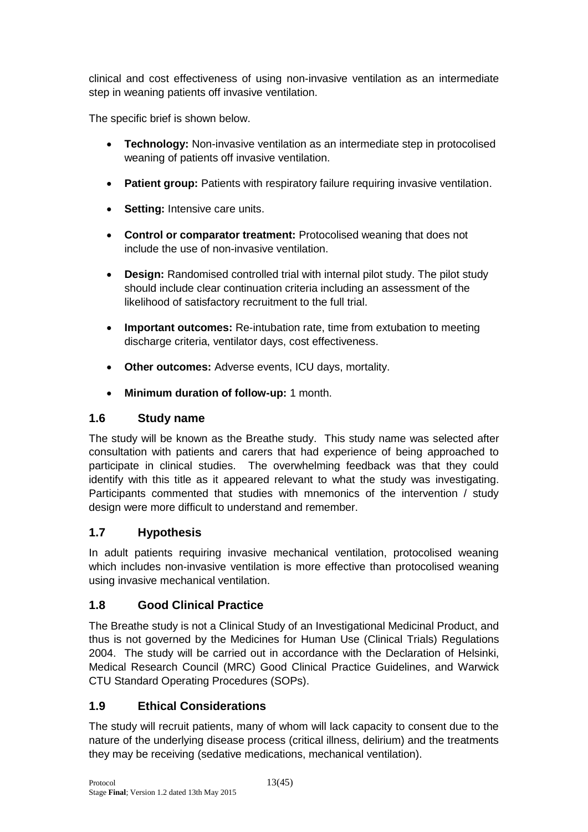clinical and cost effectiveness of using non-invasive ventilation as an intermediate step in weaning patients off invasive ventilation.

The specific brief is shown below.

- **Technology:** Non-invasive ventilation as an intermediate step in protocolised weaning of patients off invasive ventilation.
- **Patient group:** Patients with respiratory failure requiring invasive ventilation.
- **Setting:** Intensive care units.
- **Control or comparator treatment:** Protocolised weaning that does not include the use of non-invasive ventilation.
- **Design:** Randomised controlled trial with internal pilot study. The pilot study should include clear continuation criteria including an assessment of the likelihood of satisfactory recruitment to the full trial.
- **Important outcomes:** Re-intubation rate, time from extubation to meeting discharge criteria, ventilator days, cost effectiveness.
- **Other outcomes:** Adverse events, ICU days, mortality.
- **Minimum duration of follow-up:** 1 month.

# <span id="page-12-0"></span>**1.6 Study name**

The study will be known as the Breathe study. This study name was selected after consultation with patients and carers that had experience of being approached to participate in clinical studies. The overwhelming feedback was that they could identify with this title as it appeared relevant to what the study was investigating. Participants commented that studies with mnemonics of the intervention / study design were more difficult to understand and remember.

# <span id="page-12-1"></span>**1.7 Hypothesis**

In adult patients requiring invasive mechanical ventilation, protocolised weaning which includes non-invasive ventilation is more effective than protocolised weaning using invasive mechanical ventilation.

# <span id="page-12-2"></span>**1.8 Good Clinical Practice**

The Breathe study is not a Clinical Study of an Investigational Medicinal Product, and thus is not governed by the Medicines for Human Use (Clinical Trials) Regulations 2004. The study will be carried out in accordance with the Declaration of Helsinki, Medical Research Council (MRC) Good Clinical Practice Guidelines, and Warwick CTU Standard Operating Procedures (SOPs).

# <span id="page-12-3"></span>**1.9 Ethical Considerations**

The study will recruit patients, many of whom will lack capacity to consent due to the nature of the underlying disease process (critical illness, delirium) and the treatments they may be receiving (sedative medications, mechanical ventilation).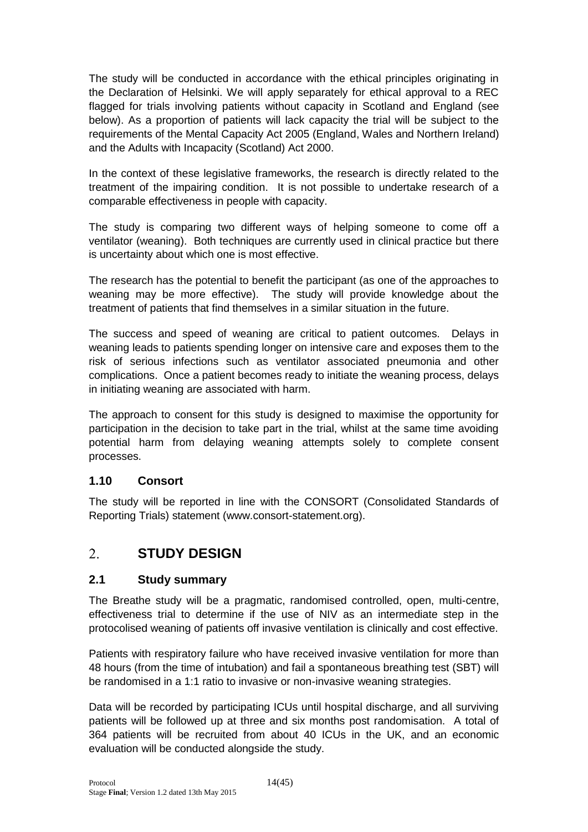The study will be conducted in accordance with the ethical principles originating in the Declaration of Helsinki. We will apply separately for ethical approval to a REC flagged for trials involving patients without capacity in Scotland and England (see below). As a proportion of patients will lack capacity the trial will be subject to the requirements of the Mental Capacity Act 2005 (England, Wales and Northern Ireland) and the Adults with Incapacity (Scotland) Act 2000.

In the context of these legislative frameworks, the research is directly related to the treatment of the impairing condition. It is not possible to undertake research of a comparable effectiveness in people with capacity.

The study is comparing two different ways of helping someone to come off a ventilator (weaning). Both techniques are currently used in clinical practice but there is uncertainty about which one is most effective.

The research has the potential to benefit the participant (as one of the approaches to weaning may be more effective). The study will provide knowledge about the treatment of patients that find themselves in a similar situation in the future.

The success and speed of weaning are critical to patient outcomes. Delays in weaning leads to patients spending longer on intensive care and exposes them to the risk of serious infections such as ventilator associated pneumonia and other complications. Once a patient becomes ready to initiate the weaning process, delays in initiating weaning are associated with harm.

The approach to consent for this study is designed to maximise the opportunity for participation in the decision to take part in the trial, whilst at the same time avoiding potential harm from delaying weaning attempts solely to complete consent processes.

### <span id="page-13-0"></span>**1.10 Consort**

The study will be reported in line with the CONSORT (Consolidated Standards of Reporting Trials) statement (www.consort-statement.org).

#### <span id="page-13-1"></span> $2.$ **STUDY DESIGN**

### <span id="page-13-2"></span>**2.1 Study summary**

The Breathe study will be a pragmatic, randomised controlled, open, multi-centre, effectiveness trial to determine if the use of NIV as an intermediate step in the protocolised weaning of patients off invasive ventilation is clinically and cost effective.

Patients with respiratory failure who have received invasive ventilation for more than 48 hours (from the time of intubation) and fail a spontaneous breathing test (SBT) will be randomised in a 1:1 ratio to invasive or non-invasive weaning strategies.

Data will be recorded by participating ICUs until hospital discharge, and all surviving patients will be followed up at three and six months post randomisation. A total of 364 patients will be recruited from about 40 ICUs in the UK, and an economic evaluation will be conducted alongside the study.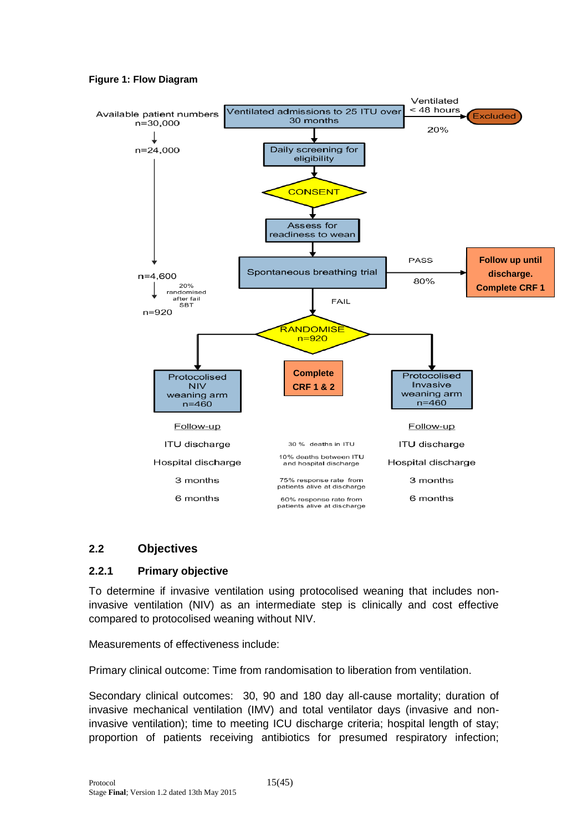<span id="page-14-2"></span>**Figure 1: Flow Diagram**



#### <span id="page-14-0"></span>**2.2 Objectives**

#### <span id="page-14-1"></span>**2.2.1 Primary objective**

To determine if invasive ventilation using protocolised weaning that includes noninvasive ventilation (NIV) as an intermediate step is clinically and cost effective compared to protocolised weaning without NIV.

Measurements of effectiveness include:

Primary clinical outcome: Time from randomisation to liberation from ventilation.

Secondary clinical outcomes: 30, 90 and 180 day all-cause mortality; duration of invasive mechanical ventilation (IMV) and total ventilator days (invasive and noninvasive ventilation); time to meeting ICU discharge criteria; hospital length of stay; proportion of patients receiving antibiotics for presumed respiratory infection;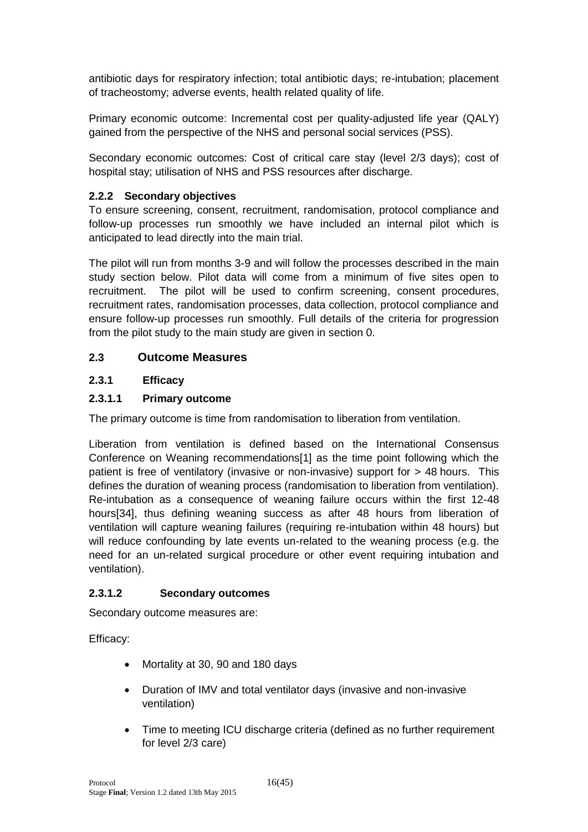antibiotic days for respiratory infection; total antibiotic days; re-intubation; placement of tracheostomy; adverse events, health related quality of life.

Primary economic outcome: Incremental cost per quality-adjusted life year (QALY) gained from the perspective of the NHS and personal social services (PSS).

Secondary economic outcomes: Cost of critical care stay (level 2/3 days); cost of hospital stay; utilisation of NHS and PSS resources after discharge.

### <span id="page-15-0"></span>**2.2.2 Secondary objectives**

To ensure screening, consent, recruitment, randomisation, protocol compliance and follow-up processes run smoothly we have included an internal pilot which is anticipated to lead directly into the main trial.

The pilot will run from months 3-9 and will follow the processes described in the main study section below. Pilot data will come from a minimum of five sites open to recruitment. The pilot will be used to confirm screening, consent procedures, recruitment rates, randomisation processes, data collection, protocol compliance and ensure follow-up processes run smoothly. Full details of the criteria for progression from the pilot study to the main study are given in section [0.](#page-36-4)

# <span id="page-15-1"></span>**2.3 Outcome Measures**

### <span id="page-15-2"></span>**2.3.1 Efficacy**

# **2.3.1.1 Primary outcome**

The primary outcome is time from randomisation to liberation from ventilation.

Liberation from ventilation is defined based on the International Consensus Conference on Weaning recommendations[1] as the time point following which the patient is free of ventilatory (invasive or non-invasive) support for > 48 hours. This defines the duration of weaning process (randomisation to liberation from ventilation). Re-intubation as a consequence of weaning failure occurs within the first 12-48 hours[34], thus defining weaning success as after 48 hours from liberation of ventilation will capture weaning failures (requiring re-intubation within 48 hours) but will reduce confounding by late events un-related to the weaning process (e.g. the need for an un-related surgical procedure or other event requiring intubation and ventilation).

### **2.3.1.2 Secondary outcomes**

Secondary outcome measures are:

Efficacy:

- Mortality at 30, 90 and 180 days
- Duration of IMV and total ventilator days (invasive and non-invasive ventilation)
- Time to meeting ICU discharge criteria (defined as no further requirement for level 2/3 care)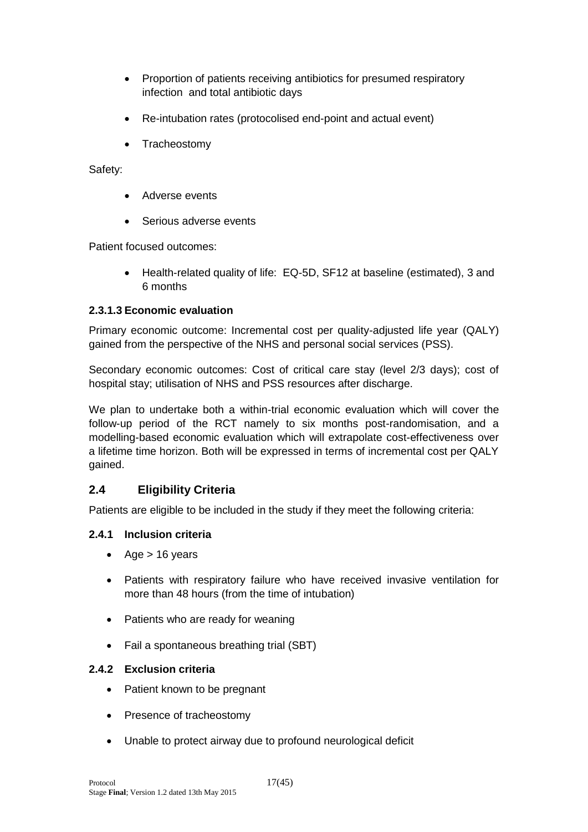- Proportion of patients receiving antibiotics for presumed respiratory infection and total antibiotic days
- Re-intubation rates (protocolised end-point and actual event)
- Tracheostomy

Safety:

- Adverse events
- Serious adverse events

Patient focused outcomes:

• Health-related quality of life: EQ-5D, SF12 at baseline (estimated), 3 and 6 months

# **2.3.1.3 Economic evaluation**

Primary economic outcome: Incremental cost per quality-adjusted life year (QALY) gained from the perspective of the NHS and personal social services (PSS).

Secondary economic outcomes: Cost of critical care stay (level 2/3 days); cost of hospital stay; utilisation of NHS and PSS resources after discharge.

We plan to undertake both a within-trial economic evaluation which will cover the follow-up period of the RCT namely to six months post-randomisation, and a modelling-based economic evaluation which will extrapolate cost-effectiveness over a lifetime time horizon. Both will be expressed in terms of incremental cost per QALY gained.

# <span id="page-16-0"></span>**2.4 Eligibility Criteria**

Patients are eligible to be included in the study if they meet the following criteria:

# <span id="page-16-1"></span>**2.4.1 Inclusion criteria**

- Age  $> 16$  years
- Patients with respiratory failure who have received invasive ventilation for more than 48 hours (from the time of intubation)
- Patients who are ready for weaning
- Fail a spontaneous breathing trial (SBT)

# <span id="page-16-2"></span>**2.4.2 Exclusion criteria**

- Patient known to be pregnant
- Presence of tracheostomy
- Unable to protect airway due to profound neurological deficit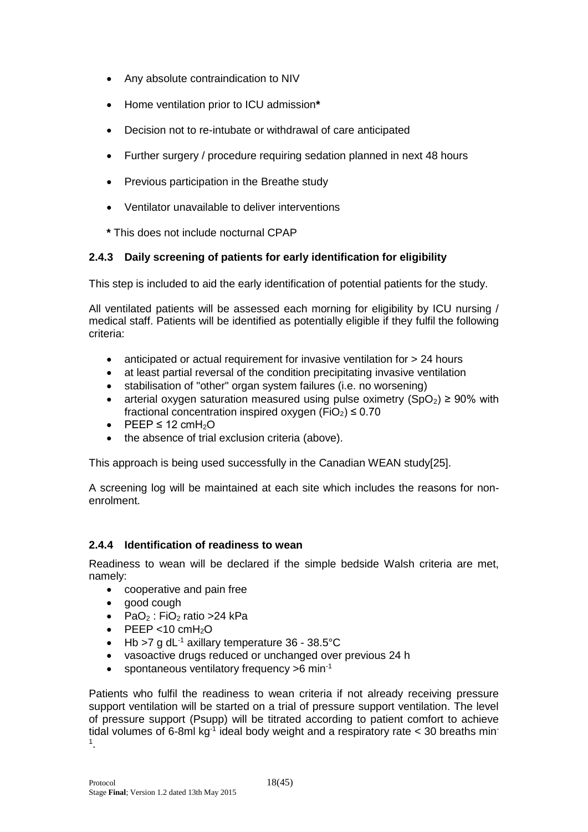- Any absolute contraindication to NIV
- Home ventilation prior to ICU admission**\***
- Decision not to re-intubate or withdrawal of care anticipated
- Further surgery / procedure requiring sedation planned in next 48 hours
- Previous participation in the Breathe study
- Ventilator unavailable to deliver interventions
- **\*** This does not include nocturnal CPAP

#### <span id="page-17-0"></span>**2.4.3 Daily screening of patients for early identification for eligibility**

This step is included to aid the early identification of potential patients for the study.

All ventilated patients will be assessed each morning for eligibility by ICU nursing / medical staff. Patients will be identified as potentially eligible if they fulfil the following criteria:

- anticipated or actual requirement for invasive ventilation for > 24 hours
- at least partial reversal of the condition precipitating invasive ventilation
- stabilisation of "other" organ system failures (i.e. no worsening)
- arterial oxygen saturation measured using pulse oximetry (SpO2)  $\geq 90\%$  with fractional concentration inspired oxygen (FiO<sub>2</sub>)  $\leq$  0.70
- PEEP  $\leq$  12 cmH<sub>2</sub>O
- the absence of trial exclusion criteria (above).

This approach is being used successfully in the Canadian WEAN study[25].

A screening log will be maintained at each site which includes the reasons for nonenrolment.

#### <span id="page-17-1"></span>**2.4.4 Identification of readiness to wean**

Readiness to wean will be declared if the simple bedside Walsh criteria are met, namely:

- cooperative and pain free
- good cough
- PaO<sub>2</sub> : FiO<sub>2</sub> ratio > 24 kPa
- $\bullet$  PEEP <10 cmH<sub>2</sub>O
- $\bullet$  Hb >7 g dL<sup>-1</sup> axillary temperature 36 38.5°C
- vasoactive drugs reduced or unchanged over previous 24 h
- spontaneous ventilatory frequency  $>6$  min<sup>-1</sup>

Patients who fulfil the readiness to wean criteria if not already receiving pressure support ventilation will be started on a trial of pressure support ventilation. The level of pressure support (Psupp) will be titrated according to patient comfort to achieve tidal volumes of 6-8ml kg<sup>-1</sup> ideal body weight and a respiratory rate  $<$  30 breaths min 1 .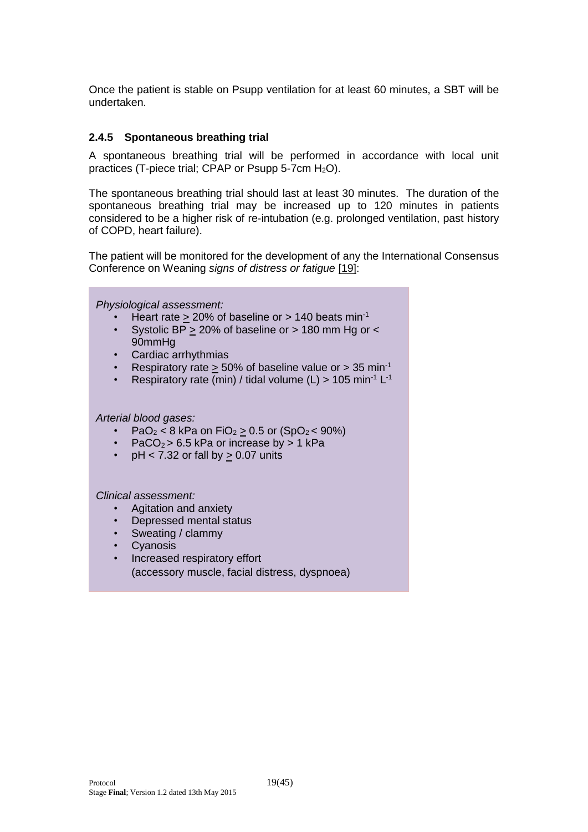Once the patient is stable on Psupp ventilation for at least 60 minutes, a SBT will be undertaken.

#### <span id="page-18-0"></span>**2.4.5 Spontaneous breathing trial**

A spontaneous breathing trial will be performed in accordance with local unit practices (T-piece trial; CPAP or Psupp 5-7cm  $H_2O$ ).

The spontaneous breathing trial should last at least 30 minutes. The duration of the spontaneous breathing trial may be increased up to 120 minutes in patients considered to be a higher risk of re-intubation (e.g. prolonged ventilation, past history of COPD, heart failure).

The patient will be monitored for the development of any the International Consensus Conference on Weaning *signs of distress or fatigue* [19]:

*Physiological assessment:*

- Heart rate  $> 20\%$  of baseline or  $> 140$  beats min<sup>-1</sup>
- Systolic BP > 20% of baseline or > 180 mm Hg or < 90mmHg
- Cardiac arrhythmias
- Respiratory rate  $\geq 50\%$  of baseline value or  $> 35$  min<sup>-1</sup>
- Respiratory rate (min) / tidal volume (L) > 105 min<sup>-1</sup> L<sup>-1</sup>

#### *Arterial blood gases:*

- $PaO<sub>2</sub> < 8$  kPa on  $FiO<sub>2</sub> > 0.5$  or  $(SpO<sub>2</sub> < 90%)$
- PaCO<sub>2</sub> > 6.5 kPa or increase by > 1 kPa
- pH < 7.32 or fall by  $\geq$  0.07 units

#### *Clinical assessment:*

- Agitation and anxiety
- Depressed mental status
- Sweating / clammy
- **Cyanosis**
- Increased respiratory effort (accessory muscle, facial distress, dyspnoea)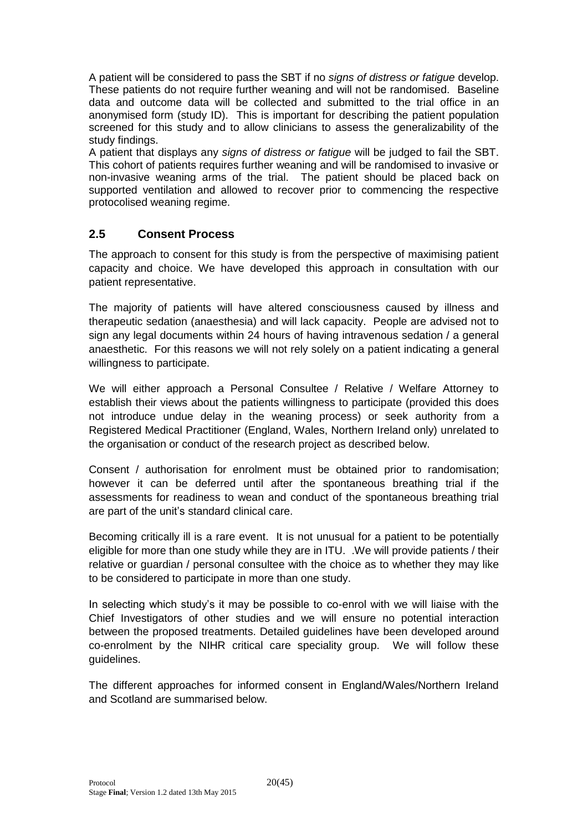A patient will be considered to pass the SBT if no *signs of distress or fatigue* develop. These patients do not require further weaning and will not be randomised. Baseline data and outcome data will be collected and submitted to the trial office in an anonymised form (study ID). This is important for describing the patient population screened for this study and to allow clinicians to assess the generalizability of the study findings.

A patient that displays any *signs of distress or fatigue* will be judged to fail the SBT. This cohort of patients requires further weaning and will be randomised to invasive or non-invasive weaning arms of the trial. The patient should be placed back on supported ventilation and allowed to recover prior to commencing the respective protocolised weaning regime.

# <span id="page-19-0"></span>**2.5 Consent Process**

The approach to consent for this study is from the perspective of maximising patient capacity and choice. We have developed this approach in consultation with our patient representative.

The majority of patients will have altered consciousness caused by illness and therapeutic sedation (anaesthesia) and will lack capacity. People are advised not to sign any legal documents within 24 hours of having intravenous sedation / a general anaesthetic. For this reasons we will not rely solely on a patient indicating a general willingness to participate.

We will either approach a Personal Consultee / Relative / Welfare Attorney to establish their views about the patients willingness to participate (provided this does not introduce undue delay in the weaning process) or seek authority from a Registered Medical Practitioner (England, Wales, Northern Ireland only) unrelated to the organisation or conduct of the research project as described below.

Consent / authorisation for enrolment must be obtained prior to randomisation; however it can be deferred until after the spontaneous breathing trial if the assessments for readiness to wean and conduct of the spontaneous breathing trial are part of the unit's standard clinical care.

Becoming critically ill is a rare event. It is not unusual for a patient to be potentially eligible for more than one study while they are in ITU. .We will provide patients / their relative or guardian / personal consultee with the choice as to whether they may like to be considered to participate in more than one study.

In selecting which study's it may be possible to co-enrol with we will liaise with the Chief Investigators of other studies and we will ensure no potential interaction between the proposed treatments. Detailed guidelines have been developed around co-enrolment by the NIHR critical care speciality group. We will follow these guidelines.

<span id="page-19-1"></span>The different approaches for informed consent in England/Wales/Northern Ireland and Scotland are summarised below.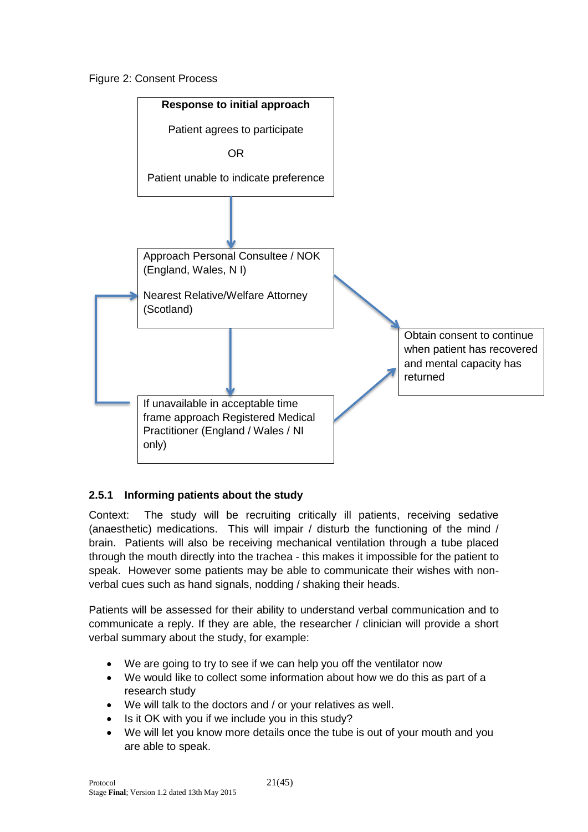Figure 2: Consent Process



# <span id="page-20-0"></span>**2.5.1 Informing patients about the study**

Context: The study will be recruiting critically ill patients, receiving sedative (anaesthetic) medications. This will impair / disturb the functioning of the mind / brain. Patients will also be receiving mechanical ventilation through a tube placed through the mouth directly into the trachea - this makes it impossible for the patient to speak. However some patients may be able to communicate their wishes with nonverbal cues such as hand signals, nodding / shaking their heads.

Patients will be assessed for their ability to understand verbal communication and to communicate a reply. If they are able, the researcher / clinician will provide a short verbal summary about the study, for example:

- We are going to try to see if we can help you off the ventilator now
- We would like to collect some information about how we do this as part of a research study
- We will talk to the doctors and / or your relatives as well.
- Is it OK with you if we include you in this study?
- We will let you know more details once the tube is out of your mouth and you are able to speak.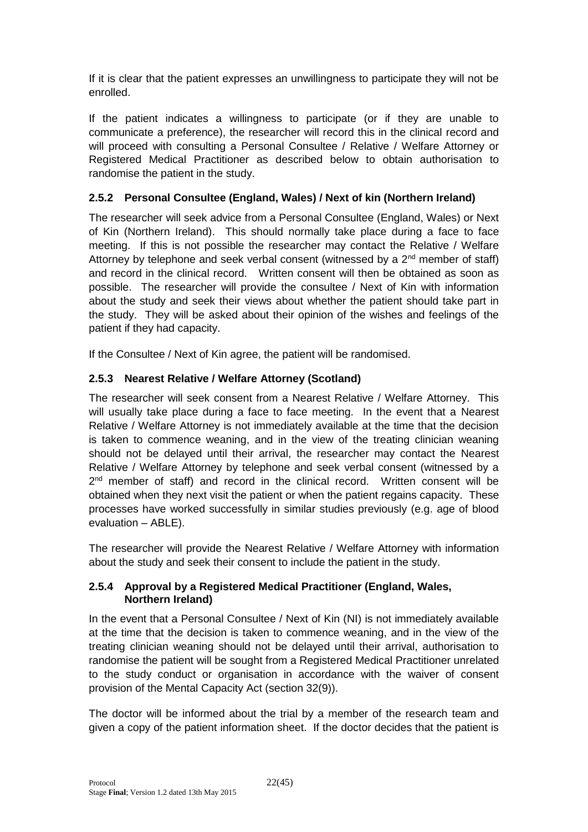If it is clear that the patient expresses an unwillingness to participate they will not be enrolled.

If the patient indicates a willingness to participate (or if they are unable to communicate a preference), the researcher will record this in the clinical record and will proceed with consulting a Personal Consultee / Relative / Welfare Attorney or Registered Medical Practitioner as described below to obtain authorisation to randomise the patient in the study.

## <span id="page-21-0"></span>**2.5.2 Personal Consultee (England, Wales) / Next of kin (Northern Ireland)**

The researcher will seek advice from a Personal Consultee (England, Wales) or Next of Kin (Northern Ireland). This should normally take place during a face to face meeting. If this is not possible the researcher may contact the Relative / Welfare Attorney by telephone and seek verbal consent (witnessed by a 2nd member of staff) and record in the clinical record. Written consent will then be obtained as soon as possible. The researcher will provide the consultee / Next of Kin with information about the study and seek their views about whether the patient should take part in the study. They will be asked about their opinion of the wishes and feelings of the patient if they had capacity.

If the Consultee / Next of Kin agree, the patient will be randomised.

# <span id="page-21-1"></span>**2.5.3 Nearest Relative / Welfare Attorney (Scotland)**

The researcher will seek consent from a Nearest Relative / Welfare Attorney. This will usually take place during a face to face meeting. In the event that a Nearest Relative / Welfare Attorney is not immediately available at the time that the decision is taken to commence weaning, and in the view of the treating clinician weaning should not be delayed until their arrival, the researcher may contact the Nearest Relative / Welfare Attorney by telephone and seek verbal consent (witnessed by a 2<sup>nd</sup> member of staff) and record in the clinical record. Written consent will be obtained when they next visit the patient or when the patient regains capacity. These processes have worked successfully in similar studies previously (e.g. age of blood evaluation – ABLE).

The researcher will provide the Nearest Relative / Welfare Attorney with information about the study and seek their consent to include the patient in the study.

#### <span id="page-21-2"></span>**2.5.4 Approval by a Registered Medical Practitioner (England, Wales, Northern Ireland)**

In the event that a Personal Consultee / Next of Kin (NI) is not immediately available at the time that the decision is taken to commence weaning, and in the view of the treating clinician weaning should not be delayed until their arrival, authorisation to randomise the patient will be sought from a Registered Medical Practitioner unrelated to the study conduct or organisation in accordance with the waiver of consent provision of the Mental Capacity Act (section 32(9)).

The doctor will be informed about the trial by a member of the research team and given a copy of the patient information sheet. If the doctor decides that the patient is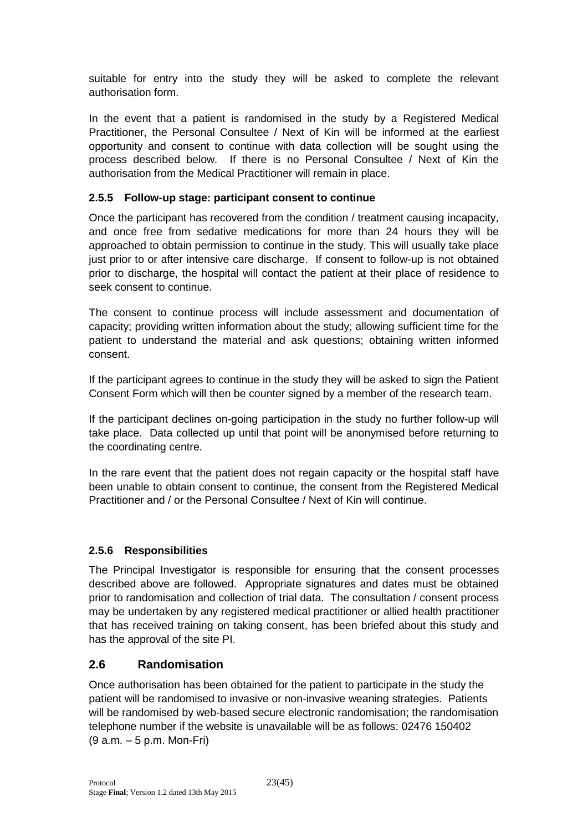suitable for entry into the study they will be asked to complete the relevant authorisation form.

In the event that a patient is randomised in the study by a Registered Medical Practitioner, the Personal Consultee / Next of Kin will be informed at the earliest opportunity and consent to continue with data collection will be sought using the process described below. If there is no Personal Consultee / Next of Kin the authorisation from the Medical Practitioner will remain in place.

### <span id="page-22-0"></span>**2.5.5 Follow-up stage: participant consent to continue**

Once the participant has recovered from the condition / treatment causing incapacity, and once free from sedative medications for more than 24 hours they will be approached to obtain permission to continue in the study. This will usually take place just prior to or after intensive care discharge. If consent to follow-up is not obtained prior to discharge, the hospital will contact the patient at their place of residence to seek consent to continue.

The consent to continue process will include assessment and documentation of capacity; providing written information about the study; allowing sufficient time for the patient to understand the material and ask questions; obtaining written informed consent.

If the participant agrees to continue in the study they will be asked to sign the Patient Consent Form which will then be counter signed by a member of the research team.

If the participant declines on-going participation in the study no further follow-up will take place. Data collected up until that point will be anonymised before returning to the coordinating centre.

In the rare event that the patient does not regain capacity or the hospital staff have been unable to obtain consent to continue, the consent from the Registered Medical Practitioner and / or the Personal Consultee / Next of Kin will continue.

# <span id="page-22-1"></span>**2.5.6 Responsibilities**

The Principal Investigator is responsible for ensuring that the consent processes described above are followed. Appropriate signatures and dates must be obtained prior to randomisation and collection of trial data. The consultation / consent process may be undertaken by any registered medical practitioner or allied health practitioner that has received training on taking consent, has been briefed about this study and has the approval of the site PI.

# <span id="page-22-2"></span>**2.6 Randomisation**

Once authorisation has been obtained for the patient to participate in the study the patient will be randomised to invasive or non-invasive weaning strategies. Patients will be randomised by web-based secure electronic randomisation; the randomisation telephone number if the website is unavailable will be as follows: 02476 150402 (9 a.m. – 5 p.m. Mon-Fri)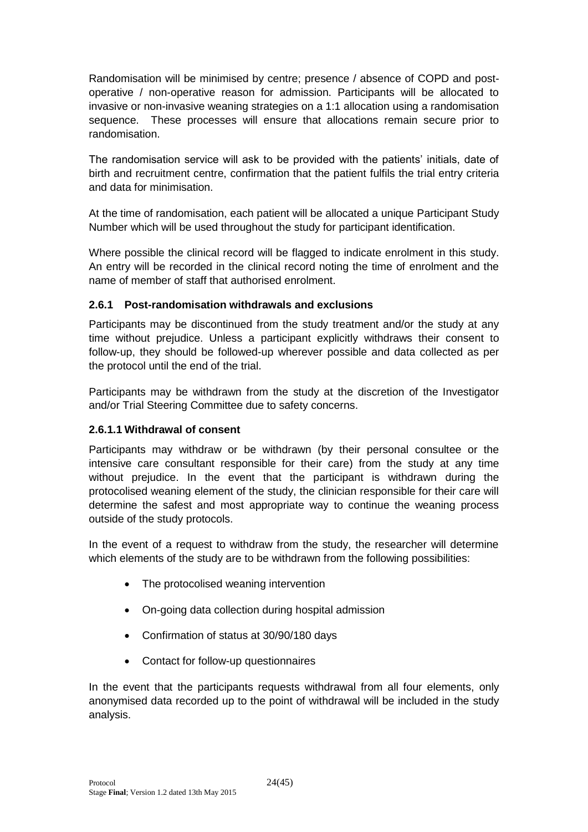Randomisation will be minimised by centre; presence / absence of COPD and postoperative / non-operative reason for admission. Participants will be allocated to invasive or non-invasive weaning strategies on a 1:1 allocation using a randomisation sequence. These processes will ensure that allocations remain secure prior to randomisation.

The randomisation service will ask to be provided with the patients' initials, date of birth and recruitment centre, confirmation that the patient fulfils the trial entry criteria and data for minimisation.

At the time of randomisation, each patient will be allocated a unique Participant Study Number which will be used throughout the study for participant identification.

Where possible the clinical record will be flagged to indicate enrolment in this study. An entry will be recorded in the clinical record noting the time of enrolment and the name of member of staff that authorised enrolment.

### <span id="page-23-0"></span>**2.6.1 Post-randomisation withdrawals and exclusions**

Participants may be discontinued from the study treatment and/or the study at any time without prejudice. Unless a participant explicitly withdraws their consent to follow-up, they should be followed-up wherever possible and data collected as per the protocol until the end of the trial.

Participants may be withdrawn from the study at the discretion of the Investigator and/or Trial Steering Committee due to safety concerns.

#### **2.6.1.1 Withdrawal of consent**

Participants may withdraw or be withdrawn (by their personal consultee or the intensive care consultant responsible for their care) from the study at any time without prejudice. In the event that the participant is withdrawn during the protocolised weaning element of the study, the clinician responsible for their care will determine the safest and most appropriate way to continue the weaning process outside of the study protocols.

In the event of a request to withdraw from the study, the researcher will determine which elements of the study are to be withdrawn from the following possibilities:

- The protocolised weaning intervention
- On-going data collection during hospital admission
- Confirmation of status at 30/90/180 days
- Contact for follow-up questionnaires

In the event that the participants requests withdrawal from all four elements, only anonymised data recorded up to the point of withdrawal will be included in the study analysis.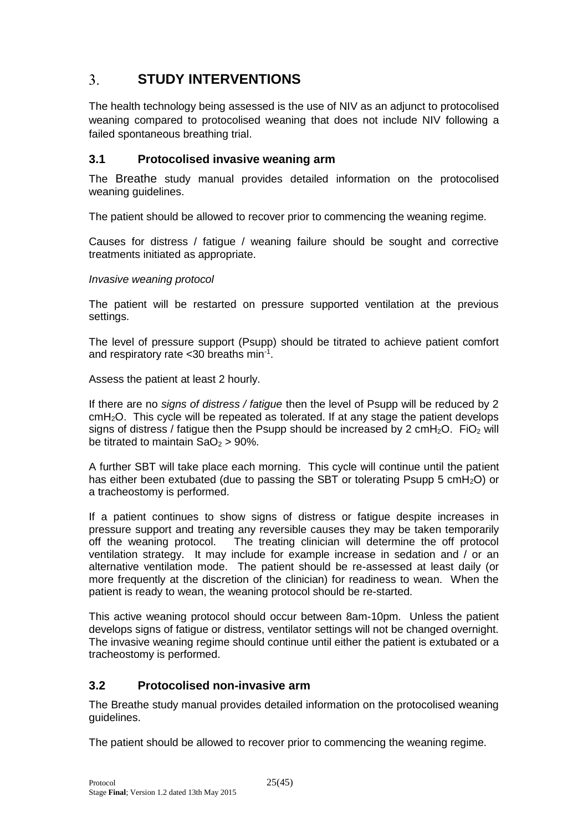#### <span id="page-24-0"></span> $3<sub>1</sub>$ **STUDY INTERVENTIONS**

The health technology being assessed is the use of NIV as an adjunct to protocolised weaning compared to protocolised weaning that does not include NIV following a failed spontaneous breathing trial.

### <span id="page-24-1"></span>**3.1 Protocolised invasive weaning arm**

The Breathe study manual provides detailed information on the protocolised weaning guidelines.

The patient should be allowed to recover prior to commencing the weaning regime.

Causes for distress / fatigue / weaning failure should be sought and corrective treatments initiated as appropriate.

#### *Invasive weaning protocol*

The patient will be restarted on pressure supported ventilation at the previous settings.

The level of pressure support (Psupp) should be titrated to achieve patient comfort and respiratory rate < 30 breaths min<sup>-1</sup>.

Assess the patient at least 2 hourly.

If there are no *signs of distress / fatigue* then the level of Psupp will be reduced by 2 cmH2O. This cycle will be repeated as tolerated. If at any stage the patient develops signs of distress / fatigue then the Psupp should be increased by 2 cmH<sub>2</sub>O. FiO<sub>2</sub> will be titrated to maintain  $SaO<sub>2</sub> > 90$ %.

A further SBT will take place each morning. This cycle will continue until the patient has either been extubated (due to passing the SBT or tolerating Psupp 5 cmH<sub>2</sub>O) or a tracheostomy is performed.

If a patient continues to show signs of distress or fatigue despite increases in pressure support and treating any reversible causes they may be taken temporarily off the weaning protocol. The treating clinician will determine the off protocol ventilation strategy. It may include for example increase in sedation and / or an alternative ventilation mode. The patient should be re-assessed at least daily (or more frequently at the discretion of the clinician) for readiness to wean. When the patient is ready to wean, the weaning protocol should be re-started.

This active weaning protocol should occur between 8am-10pm. Unless the patient develops signs of fatigue or distress, ventilator settings will not be changed overnight. The invasive weaning regime should continue until either the patient is extubated or a tracheostomy is performed.

# <span id="page-24-2"></span>**3.2 Protocolised non-invasive arm**

The Breathe study manual provides detailed information on the protocolised weaning guidelines.

The patient should be allowed to recover prior to commencing the weaning regime.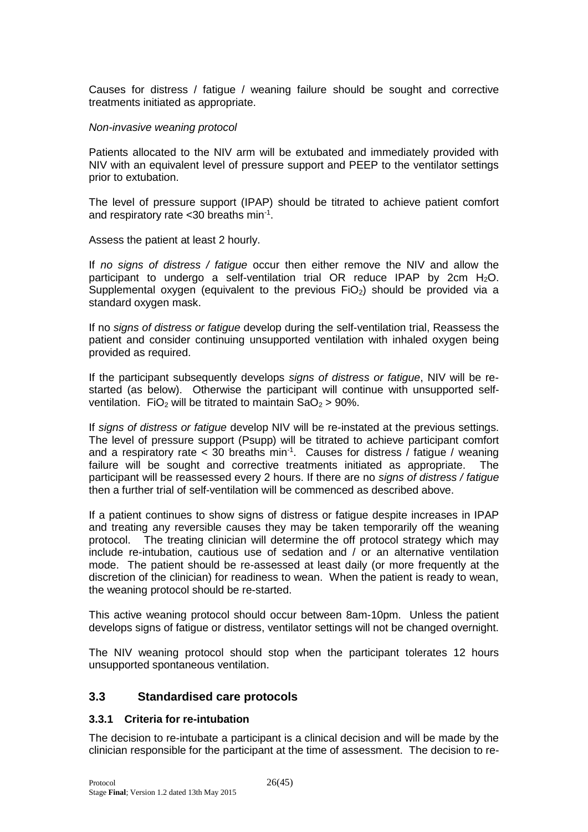Causes for distress / fatigue / weaning failure should be sought and corrective treatments initiated as appropriate.

#### *Non-invasive weaning protocol*

Patients allocated to the NIV arm will be extubated and immediately provided with NIV with an equivalent level of pressure support and PEEP to the ventilator settings prior to extubation.

The level of pressure support (IPAP) should be titrated to achieve patient comfort and respiratory rate < 30 breaths min<sup>-1</sup>.

Assess the patient at least 2 hourly.

If *no signs of distress / fatigue* occur then either remove the NIV and allow the participant to undergo a self-ventilation trial OR reduce IPAP by 2cm  $H_2O$ . Supplemental oxygen (equivalent to the previous  $FiO<sub>2</sub>$ ) should be provided via a standard oxygen mask.

If no *signs of distress or fatigue* develop during the self-ventilation trial, Reassess the patient and consider continuing unsupported ventilation with inhaled oxygen being provided as required.

If the participant subsequently develops *signs of distress or fatigue*, NIV will be restarted (as below). Otherwise the participant will continue with unsupported selfventilation. FiO<sub>2</sub> will be titrated to maintain  $SaO<sub>2</sub> > 90$ %.

If *signs of distress or fatigue* develop NIV will be re-instated at the previous settings. The level of pressure support (Psupp) will be titrated to achieve participant comfort and a respiratory rate  $<$  30 breaths min<sup>-1</sup>. Causes for distress / fatigue / weaning failure will be sought and corrective treatments initiated as appropriate. The participant will be reassessed every 2 hours. If there are no *signs of distress / fatigue* then a further trial of self-ventilation will be commenced as described above.

If a patient continues to show signs of distress or fatigue despite increases in IPAP and treating any reversible causes they may be taken temporarily off the weaning protocol. The treating clinician will determine the off protocol strategy which may include re-intubation, cautious use of sedation and / or an alternative ventilation mode. The patient should be re-assessed at least daily (or more frequently at the discretion of the clinician) for readiness to wean. When the patient is ready to wean, the weaning protocol should be re-started.

This active weaning protocol should occur between 8am-10pm. Unless the patient develops signs of fatigue or distress, ventilator settings will not be changed overnight.

The NIV weaning protocol should stop when the participant tolerates 12 hours unsupported spontaneous ventilation.

### <span id="page-25-0"></span>**3.3 Standardised care protocols**

#### <span id="page-25-1"></span>**3.3.1 Criteria for re-intubation**

The decision to re-intubate a participant is a clinical decision and will be made by the clinician responsible for the participant at the time of assessment. The decision to re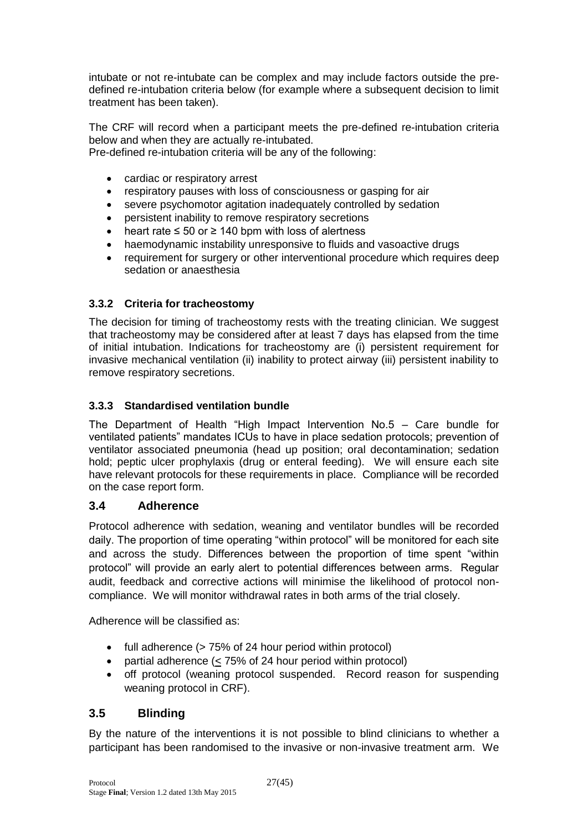intubate or not re-intubate can be complex and may include factors outside the predefined re-intubation criteria below (for example where a subsequent decision to limit treatment has been taken).

The CRF will record when a participant meets the pre-defined re-intubation criteria below and when they are actually re-intubated.

Pre-defined re-intubation criteria will be any of the following:

- cardiac or respiratory arrest
- respiratory pauses with loss of consciousness or gasping for air
- severe psychomotor agitation inadequately controlled by sedation
- persistent inability to remove respiratory secretions
- heart rate  $\leq 50$  or  $\geq 140$  bpm with loss of alertness
- haemodynamic instability unresponsive to fluids and vasoactive drugs
- requirement for surgery or other interventional procedure which requires deep sedation or anaesthesia

### <span id="page-26-0"></span>**3.3.2 Criteria for tracheostomy**

The decision for timing of tracheostomy rests with the treating clinician. We suggest that tracheostomy may be considered after at least 7 days has elapsed from the time of initial intubation. Indications for tracheostomy are (i) persistent requirement for invasive mechanical ventilation (ii) inability to protect airway (iii) persistent inability to remove respiratory secretions.

### <span id="page-26-1"></span>**3.3.3 Standardised ventilation bundle**

The Department of Health "High Impact Intervention No.5 – Care bundle for ventilated patients" mandates ICUs to have in place sedation protocols; prevention of ventilator associated pneumonia (head up position; oral decontamination; sedation hold; peptic ulcer prophylaxis (drug or enteral feeding). We will ensure each site have relevant protocols for these requirements in place. Compliance will be recorded on the case report form.

### <span id="page-26-2"></span>**3.4 Adherence**

Protocol adherence with sedation, weaning and ventilator bundles will be recorded daily. The proportion of time operating "within protocol" will be monitored for each site and across the study. Differences between the proportion of time spent "within protocol" will provide an early alert to potential differences between arms. Regular audit, feedback and corrective actions will minimise the likelihood of protocol noncompliance. We will monitor withdrawal rates in both arms of the trial closely.

Adherence will be classified as:

- full adherence (> 75% of 24 hour period within protocol)
- partial adherence (< 75% of 24 hour period within protocol)
- off protocol (weaning protocol suspended. Record reason for suspending weaning protocol in CRF).

# <span id="page-26-3"></span>**3.5 Blinding**

By the nature of the interventions it is not possible to blind clinicians to whether a participant has been randomised to the invasive or non-invasive treatment arm. We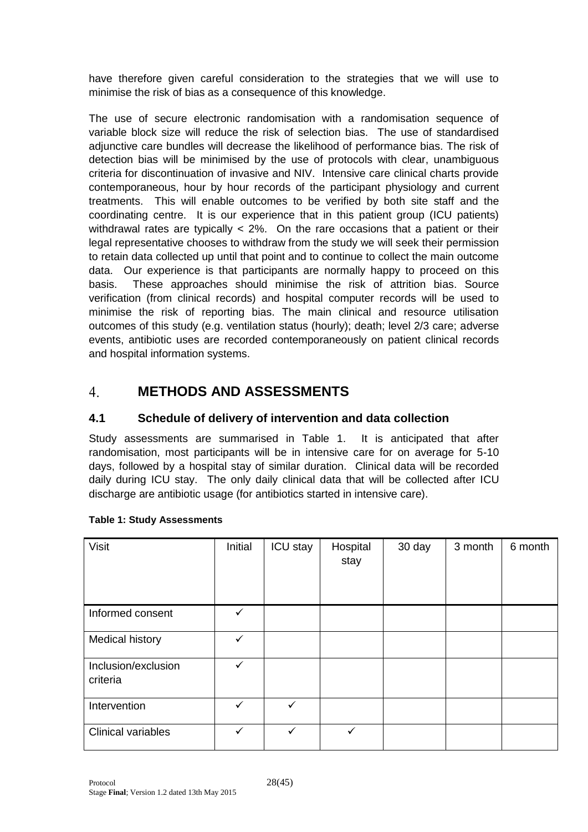have therefore given careful consideration to the strategies that we will use to minimise the risk of bias as a consequence of this knowledge.

The use of secure electronic randomisation with a randomisation sequence of variable block size will reduce the risk of selection bias. The use of standardised adjunctive care bundles will decrease the likelihood of performance bias. The risk of detection bias will be minimised by the use of protocols with clear, unambiguous criteria for discontinuation of invasive and NIV. Intensive care clinical charts provide contemporaneous, hour by hour records of the participant physiology and current treatments. This will enable outcomes to be verified by both site staff and the coordinating centre. It is our experience that in this patient group (ICU patients) withdrawal rates are typically < 2%. On the rare occasions that a patient or their legal representative chooses to withdraw from the study we will seek their permission to retain data collected up until that point and to continue to collect the main outcome data. Our experience is that participants are normally happy to proceed on this basis. These approaches should minimise the risk of attrition bias. Source verification (from clinical records) and hospital computer records will be used to minimise the risk of reporting bias. The main clinical and resource utilisation outcomes of this study (e.g. ventilation status (hourly); death; level 2/3 care; adverse events, antibiotic uses are recorded contemporaneously on patient clinical records and hospital information systems.

#### <span id="page-27-0"></span> $\overline{4}$ . **METHODS AND ASSESSMENTS**

# <span id="page-27-1"></span>**4.1 Schedule of delivery of intervention and data collection**

Study assessments are summarised in Table 1. It is anticipated that after randomisation, most participants will be in intensive care for on average for 5-10 days, followed by a hospital stay of similar duration. Clinical data will be recorded daily during ICU stay. The only daily clinical data that will be collected after ICU discharge are antibiotic usage (for antibiotics started in intensive care).

| Visit                           | Initial      | ICU stay     | Hospital<br>stay | 30 day | 3 month | 6 month |
|---------------------------------|--------------|--------------|------------------|--------|---------|---------|
| Informed consent                | ✓            |              |                  |        |         |         |
| Medical history                 | ✓            |              |                  |        |         |         |
| Inclusion/exclusion<br>criteria | ✓            |              |                  |        |         |         |
| Intervention                    | $\checkmark$ | $\checkmark$ |                  |        |         |         |
| <b>Clinical variables</b>       | ✓            | $\checkmark$ | ✓                |        |         |         |

#### <span id="page-27-2"></span>**Table 1: Study Assessments**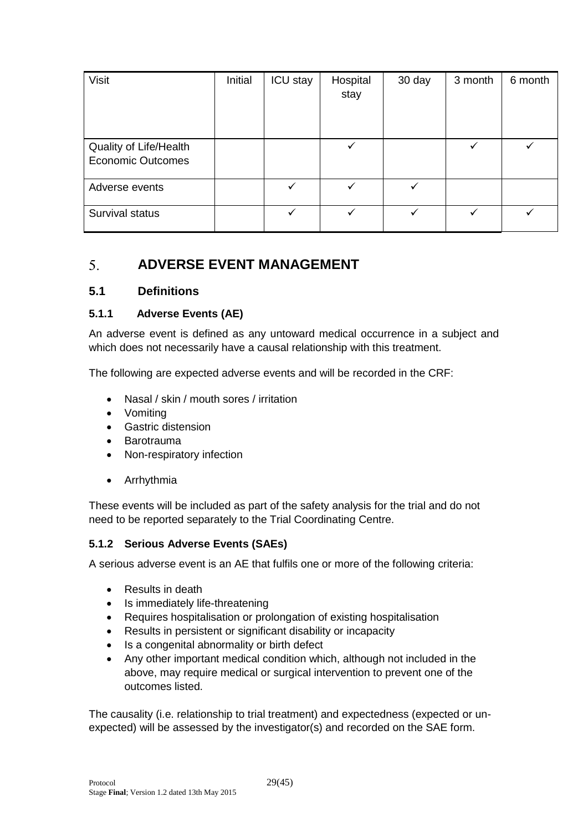| <b>Visit</b>                                       | Initial | ICU stay     | Hospital<br>stay | 30 day | 3 month | 6 month |
|----------------------------------------------------|---------|--------------|------------------|--------|---------|---------|
| Quality of Life/Health<br><b>Economic Outcomes</b> |         |              | ✓                |        |         | ✓       |
| Adverse events                                     |         | $\checkmark$ | ✓                | ✓      |         |         |
| Survival status                                    |         | $\checkmark$ |                  | ✓      |         |         |

#### <span id="page-28-0"></span> $5.$ **ADVERSE EVENT MANAGEMENT**

### <span id="page-28-1"></span>**5.1 Definitions**

### <span id="page-28-2"></span>**5.1.1 Adverse Events (AE)**

An adverse event is defined as any untoward medical occurrence in a subject and which does not necessarily have a causal relationship with this treatment.

The following are expected adverse events and will be recorded in the CRF:

- Nasal / skin / mouth sores / irritation
- Vomiting
- **•** Gastric distension
- Barotrauma
- Non-respiratory infection
- Arrhythmia

These events will be included as part of the safety analysis for the trial and do not need to be reported separately to the Trial Coordinating Centre.

### <span id="page-28-3"></span>**5.1.2 Serious Adverse Events (SAEs)**

A serious adverse event is an AE that fulfils one or more of the following criteria:

- Results in death
- Is immediately life-threatening
- Requires hospitalisation or prolongation of existing hospitalisation
- Results in persistent or significant disability or incapacity
- Is a congenital abnormality or birth defect
- Any other important medical condition which, although not included in the above, may require medical or surgical intervention to prevent one of the outcomes listed.

The causality (i.e. relationship to trial treatment) and expectedness (expected or unexpected) will be assessed by the investigator(s) and recorded on the SAE form.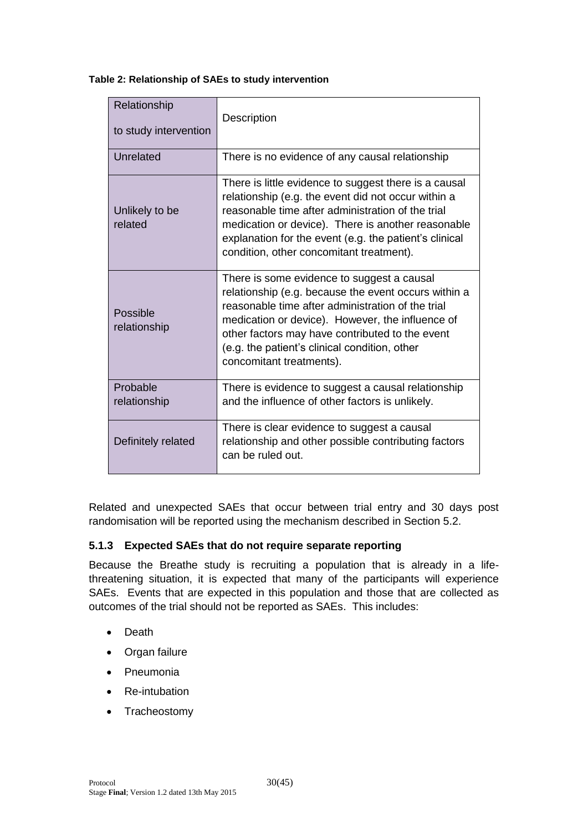<span id="page-29-1"></span>

| Table 2: Relationship of SAEs to study intervention |  |  |
|-----------------------------------------------------|--|--|
|-----------------------------------------------------|--|--|

| Relationship<br>to study intervention | Description                                                                                                                                                                                                                                                                                                                                 |
|---------------------------------------|---------------------------------------------------------------------------------------------------------------------------------------------------------------------------------------------------------------------------------------------------------------------------------------------------------------------------------------------|
| Unrelated                             | There is no evidence of any causal relationship                                                                                                                                                                                                                                                                                             |
| Unlikely to be<br>related             | There is little evidence to suggest there is a causal<br>relationship (e.g. the event did not occur within a<br>reasonable time after administration of the trial<br>medication or device). There is another reasonable<br>explanation for the event (e.g. the patient's clinical<br>condition, other concomitant treatment).               |
| Possible<br>relationship              | There is some evidence to suggest a causal<br>relationship (e.g. because the event occurs within a<br>reasonable time after administration of the trial<br>medication or device). However, the influence of<br>other factors may have contributed to the event<br>(e.g. the patient's clinical condition, other<br>concomitant treatments). |
| Probable<br>relationship              | There is evidence to suggest a causal relationship<br>and the influence of other factors is unlikely.                                                                                                                                                                                                                                       |
| Definitely related                    | There is clear evidence to suggest a causal<br>relationship and other possible contributing factors<br>can be ruled out.                                                                                                                                                                                                                    |

Related and unexpected SAEs that occur between trial entry and 30 days post randomisation will be reported using the mechanism described in Section 5.2.

# <span id="page-29-0"></span>**5.1.3 Expected SAEs that do not require separate reporting**

Because the Breathe study is recruiting a population that is already in a lifethreatening situation, it is expected that many of the participants will experience SAEs. Events that are expected in this population and those that are collected as outcomes of the trial should not be reported as SAEs. This includes:

- Death
- Organ failure
- Pneumonia
- Re-intubation
- Tracheostomy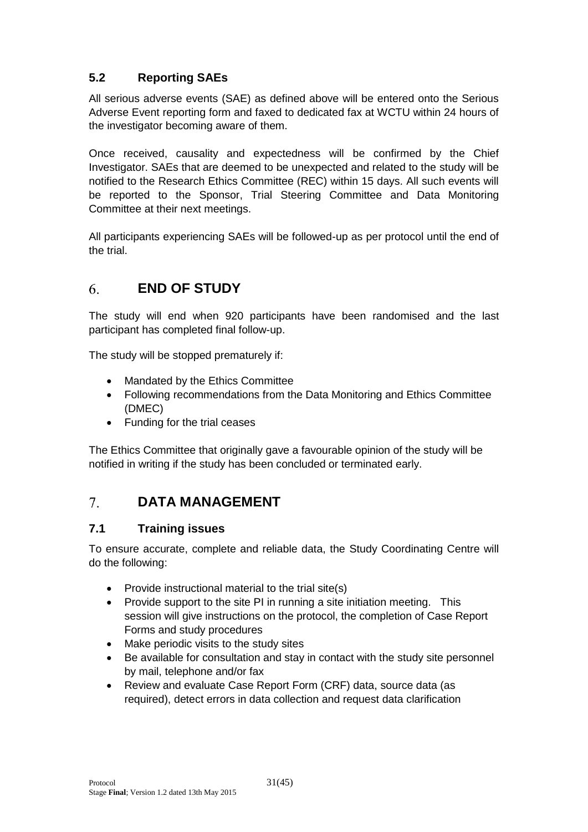# <span id="page-30-0"></span>**5.2 Reporting SAEs**

All serious adverse events (SAE) as defined above will be entered onto the Serious Adverse Event reporting form and faxed to dedicated fax at WCTU within 24 hours of the investigator becoming aware of them.

Once received, causality and expectedness will be confirmed by the Chief Investigator. SAEs that are deemed to be unexpected and related to the study will be notified to the Research Ethics Committee (REC) within 15 days. All such events will be reported to the Sponsor, Trial Steering Committee and Data Monitoring Committee at their next meetings.

All participants experiencing SAEs will be followed-up as per protocol until the end of the trial.

#### <span id="page-30-1"></span> $6<sup>1</sup>$ **END OF STUDY**

The study will end when 920 participants have been randomised and the last participant has completed final follow-up.

The study will be stopped prematurely if:

- Mandated by the Ethics Committee
- Following recommendations from the Data Monitoring and Ethics Committee (DMEC)
- Funding for the trial ceases

The Ethics Committee that originally gave a favourable opinion of the study will be notified in writing if the study has been concluded or terminated early.

#### <span id="page-30-2"></span> $7<sup>1</sup>$ **DATA MANAGEMENT**

# <span id="page-30-3"></span>**7.1 Training issues**

To ensure accurate, complete and reliable data, the Study Coordinating Centre will do the following:

- Provide instructional material to the trial site(s)
- Provide support to the site PI in running a site initiation meeting. This session will give instructions on the protocol, the completion of Case Report Forms and study procedures
- Make periodic visits to the study sites
- Be available for consultation and stay in contact with the study site personnel by mail, telephone and/or fax
- Review and evaluate Case Report Form (CRF) data, source data (as required), detect errors in data collection and request data clarification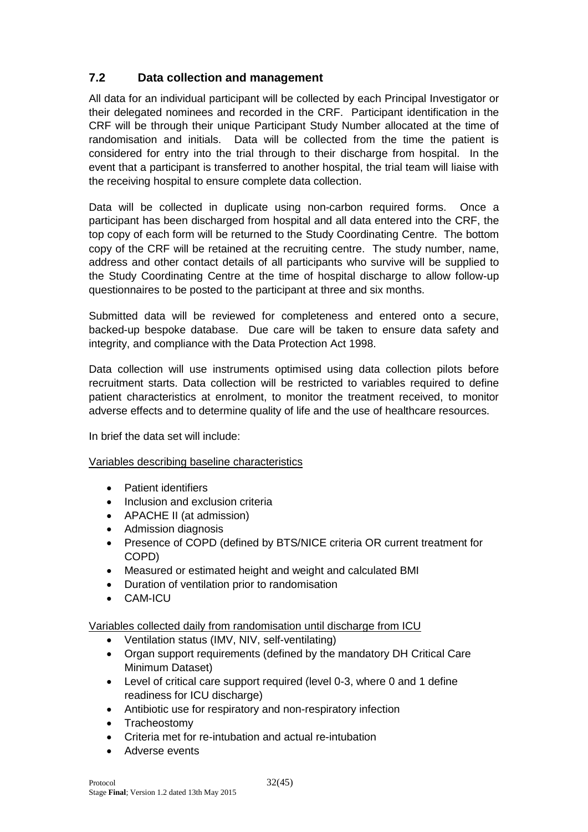# <span id="page-31-0"></span>**7.2 Data collection and management**

All data for an individual participant will be collected by each Principal Investigator or their delegated nominees and recorded in the CRF. Participant identification in the CRF will be through their unique Participant Study Number allocated at the time of randomisation and initials. Data will be collected from the time the patient is considered for entry into the trial through to their discharge from hospital. In the event that a participant is transferred to another hospital, the trial team will liaise with the receiving hospital to ensure complete data collection.

Data will be collected in duplicate using non-carbon required forms. Once a participant has been discharged from hospital and all data entered into the CRF, the top copy of each form will be returned to the Study Coordinating Centre. The bottom copy of the CRF will be retained at the recruiting centre. The study number, name, address and other contact details of all participants who survive will be supplied to the Study Coordinating Centre at the time of hospital discharge to allow follow-up questionnaires to be posted to the participant at three and six months.

Submitted data will be reviewed for completeness and entered onto a secure, backed-up bespoke database. Due care will be taken to ensure data safety and integrity, and compliance with the Data Protection Act 1998.

Data collection will use instruments optimised using data collection pilots before recruitment starts. Data collection will be restricted to variables required to define patient characteristics at enrolment, to monitor the treatment received, to monitor adverse effects and to determine quality of life and the use of healthcare resources.

In brief the data set will include:

### Variables describing baseline characteristics

- Patient identifiers
- Inclusion and exclusion criteria
- APACHE II (at admission)
- Admission diagnosis
- Presence of COPD (defined by BTS/NICE criteria OR current treatment for COPD)
- Measured or estimated height and weight and calculated BMI
- Duration of ventilation prior to randomisation
- CAM-ICU

Variables collected daily from randomisation until discharge from ICU

- Ventilation status (IMV, NIV, self-ventilating)
- Organ support requirements (defined by the mandatory DH Critical Care Minimum Dataset)
- Level of critical care support required (level 0-3, where 0 and 1 define readiness for ICU discharge)
- Antibiotic use for respiratory and non-respiratory infection
- Tracheostomy
- Criteria met for re-intubation and actual re-intubation
- Adverse events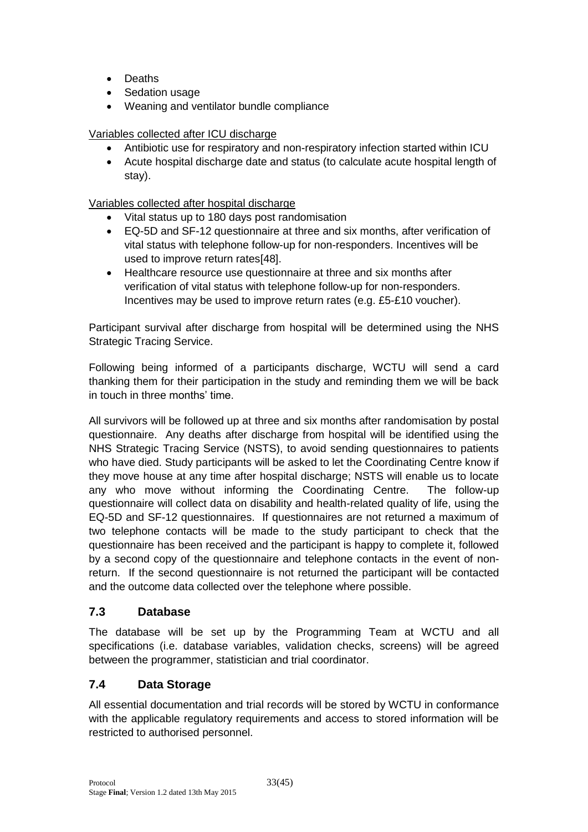- Deaths
- Sedation usage
- Weaning and ventilator bundle compliance

### Variables collected after ICU discharge

- Antibiotic use for respiratory and non-respiratory infection started within ICU
- Acute hospital discharge date and status (to calculate acute hospital length of stay).

#### Variables collected after hospital discharge

- Vital status up to 180 days post randomisation
- EQ-5D and SF-12 questionnaire at three and six months, after verification of vital status with telephone follow-up for non-responders. Incentives will be used to improve return rates[48].
- Healthcare resource use questionnaire at three and six months after verification of vital status with telephone follow-up for non-responders. Incentives may be used to improve return rates (e.g. £5-£10 voucher).

Participant survival after discharge from hospital will be determined using the NHS Strategic Tracing Service.

Following being informed of a participants discharge, WCTU will send a card thanking them for their participation in the study and reminding them we will be back in touch in three months' time.

All survivors will be followed up at three and six months after randomisation by postal questionnaire. Any deaths after discharge from hospital will be identified using the NHS Strategic Tracing Service (NSTS), to avoid sending questionnaires to patients who have died. Study participants will be asked to let the Coordinating Centre know if they move house at any time after hospital discharge; NSTS will enable us to locate any who move without informing the Coordinating Centre. The follow-up questionnaire will collect data on disability and health-related quality of life, using the EQ-5D and SF-12 questionnaires. If questionnaires are not returned a maximum of two telephone contacts will be made to the study participant to check that the questionnaire has been received and the participant is happy to complete it, followed by a second copy of the questionnaire and telephone contacts in the event of nonreturn. If the second questionnaire is not returned the participant will be contacted and the outcome data collected over the telephone where possible.

### <span id="page-32-0"></span>**7.3 Database**

The database will be set up by the Programming Team at WCTU and all specifications (i.e. database variables, validation checks, screens) will be agreed between the programmer, statistician and trial coordinator.

# <span id="page-32-1"></span>**7.4 Data Storage**

All essential documentation and trial records will be stored by WCTU in conformance with the applicable regulatory requirements and access to stored information will be restricted to authorised personnel.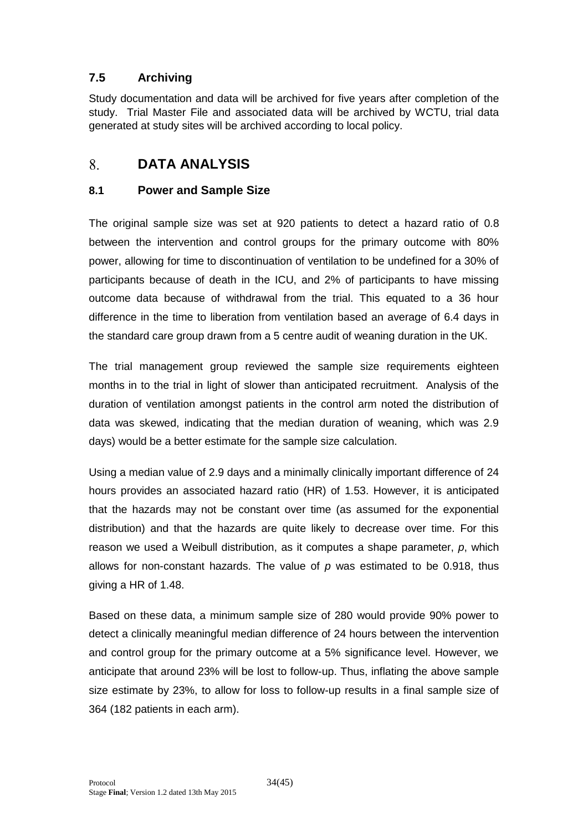# <span id="page-33-0"></span>**7.5 Archiving**

Study documentation and data will be archived for five years after completion of the study. Trial Master File and associated data will be archived by WCTU, trial data generated at study sites will be archived according to local policy.

#### <span id="page-33-1"></span>8. **DATA ANALYSIS**

### <span id="page-33-2"></span>**8.1 Power and Sample Size**

<span id="page-33-3"></span>The original sample size was set at 920 patients to detect a hazard ratio of 0.8 between the intervention and control groups for the primary outcome with 80% power, allowing for time to discontinuation of ventilation to be undefined for a 30% of participants because of death in the ICU, and 2% of participants to have missing outcome data because of withdrawal from the trial. This equated to a 36 hour difference in the time to liberation from ventilation based an average of 6.4 days in the standard care group drawn from a 5 centre audit of weaning duration in the UK.

The trial management group reviewed the sample size requirements eighteen months in to the trial in light of slower than anticipated recruitment. Analysis of the duration of ventilation amongst patients in the control arm noted the distribution of data was skewed, indicating that the median duration of weaning, which was 2.9 days) would be a better estimate for the sample size calculation.

Using a median value of 2.9 days and a minimally clinically important difference of 24 hours provides an associated hazard ratio (HR) of 1.53. However, it is anticipated that the hazards may not be constant over time (as assumed for the exponential distribution) and that the hazards are quite likely to decrease over time. For this reason we used a Weibull distribution, as it computes a shape parameter, *p*, which allows for non-constant hazards. The value of *p* was estimated to be 0.918, thus giving a HR of 1.48.

Based on these data, a minimum sample size of 280 would provide 90% power to detect a clinically meaningful median difference of 24 hours between the intervention and control group for the primary outcome at a 5% significance level. However, we anticipate that around 23% will be lost to follow-up. Thus, inflating the above sample size estimate by 23%, to allow for loss to follow-up results in a final sample size of 364 (182 patients in each arm).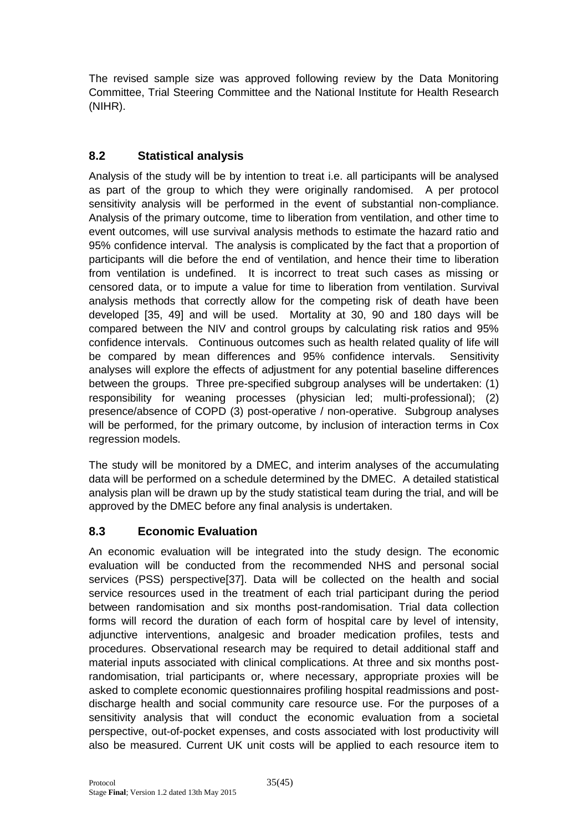The revised sample size was approved following review by the Data Monitoring Committee, Trial Steering Committee and the National Institute for Health Research (NIHR).

# <span id="page-34-0"></span>**8.2 Statistical analysis**

Analysis of the study will be by intention to treat i.e. all participants will be analysed as part of the group to which they were originally randomised. A per protocol sensitivity analysis will be performed in the event of substantial non-compliance. Analysis of the primary outcome, time to liberation from ventilation, and other time to event outcomes, will use survival analysis methods to estimate the hazard ratio and 95% confidence interval. The analysis is complicated by the fact that a proportion of participants will die before the end of ventilation, and hence their time to liberation from ventilation is undefined. It is incorrect to treat such cases as missing or censored data, or to impute a value for time to liberation from ventilation. Survival analysis methods that correctly allow for the competing risk of death have been developed [35, 49] and will be used. Mortality at 30, 90 and 180 days will be compared between the NIV and control groups by calculating risk ratios and 95% confidence intervals. Continuous outcomes such as health related quality of life will be compared by mean differences and 95% confidence intervals. Sensitivity analyses will explore the effects of adjustment for any potential baseline differences between the groups. Three pre-specified subgroup analyses will be undertaken: (1) responsibility for weaning processes (physician led; multi-professional); (2) presence/absence of COPD (3) post-operative / non-operative. Subgroup analyses will be performed, for the primary outcome, by inclusion of interaction terms in Cox regression models.

The study will be monitored by a DMEC, and interim analyses of the accumulating data will be performed on a schedule determined by the DMEC. A detailed statistical analysis plan will be drawn up by the study statistical team during the trial, and will be approved by the DMEC before any final analysis is undertaken.

# <span id="page-34-1"></span>**8.3 Economic Evaluation**

An economic evaluation will be integrated into the study design. The economic evaluation will be conducted from the recommended NHS and personal social services (PSS) perspective[37]. Data will be collected on the health and social service resources used in the treatment of each trial participant during the period between randomisation and six months post-randomisation. Trial data collection forms will record the duration of each form of hospital care by level of intensity, adjunctive interventions, analgesic and broader medication profiles, tests and procedures. Observational research may be required to detail additional staff and material inputs associated with clinical complications. At three and six months postrandomisation, trial participants or, where necessary, appropriate proxies will be asked to complete economic questionnaires profiling hospital readmissions and postdischarge health and social community care resource use. For the purposes of a sensitivity analysis that will conduct the economic evaluation from a societal perspective, out-of-pocket expenses, and costs associated with lost productivity will also be measured. Current UK unit costs will be applied to each resource item to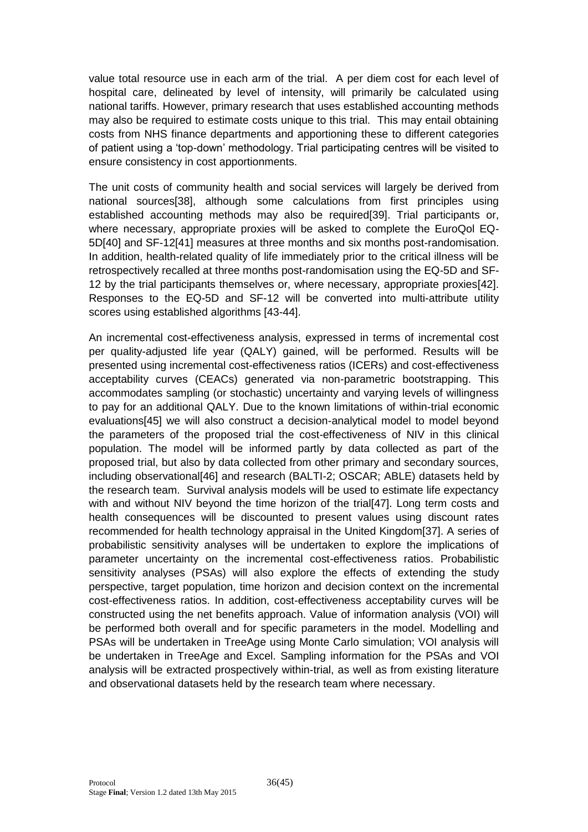value total resource use in each arm of the trial. A per diem cost for each level of hospital care, delineated by level of intensity, will primarily be calculated using national tariffs. However, primary research that uses established accounting methods may also be required to estimate costs unique to this trial. This may entail obtaining costs from NHS finance departments and apportioning these to different categories of patient using a 'top-down' methodology. Trial participating centres will be visited to ensure consistency in cost apportionments.

The unit costs of community health and social services will largely be derived from national sources[38], although some calculations from first principles using established accounting methods may also be required[39]. Trial participants or, where necessary, appropriate proxies will be asked to complete the EuroQol EQ-5D[40] and SF-12[41] measures at three months and six months post-randomisation. In addition, health-related quality of life immediately prior to the critical illness will be retrospectively recalled at three months post-randomisation using the EQ-5D and SF-12 by the trial participants themselves or, where necessary, appropriate proxies[42]. Responses to the EQ-5D and SF-12 will be converted into multi-attribute utility scores using established algorithms [43-44].

An incremental cost-effectiveness analysis, expressed in terms of incremental cost per quality-adjusted life year (QALY) gained, will be performed. Results will be presented using incremental cost-effectiveness ratios (ICERs) and cost-effectiveness acceptability curves (CEACs) generated via non-parametric bootstrapping. This accommodates sampling (or stochastic) uncertainty and varying levels of willingness to pay for an additional QALY. Due to the known limitations of within-trial economic evaluations[45] we will also construct a decision-analytical model to model beyond the parameters of the proposed trial the cost-effectiveness of NIV in this clinical population. The model will be informed partly by data collected as part of the proposed trial, but also by data collected from other primary and secondary sources, including observational[46] and research (BALTI-2; OSCAR; ABLE) datasets held by the research team. Survival analysis models will be used to estimate life expectancy with and without NIV beyond the time horizon of the trial [47]. Long term costs and health consequences will be discounted to present values using discount rates recommended for health technology appraisal in the United Kingdom[37]. A series of probabilistic sensitivity analyses will be undertaken to explore the implications of parameter uncertainty on the incremental cost-effectiveness ratios. Probabilistic sensitivity analyses (PSAs) will also explore the effects of extending the study perspective, target population, time horizon and decision context on the incremental cost-effectiveness ratios. In addition, cost-effectiveness acceptability curves will be constructed using the net benefits approach. Value of information analysis (VOI) will be performed both overall and for specific parameters in the model. Modelling and PSAs will be undertaken in TreeAge using Monte Carlo simulation; VOI analysis will be undertaken in TreeAge and Excel. Sampling information for the PSAs and VOI analysis will be extracted prospectively within-trial, as well as from existing literature and observational datasets held by the research team where necessary.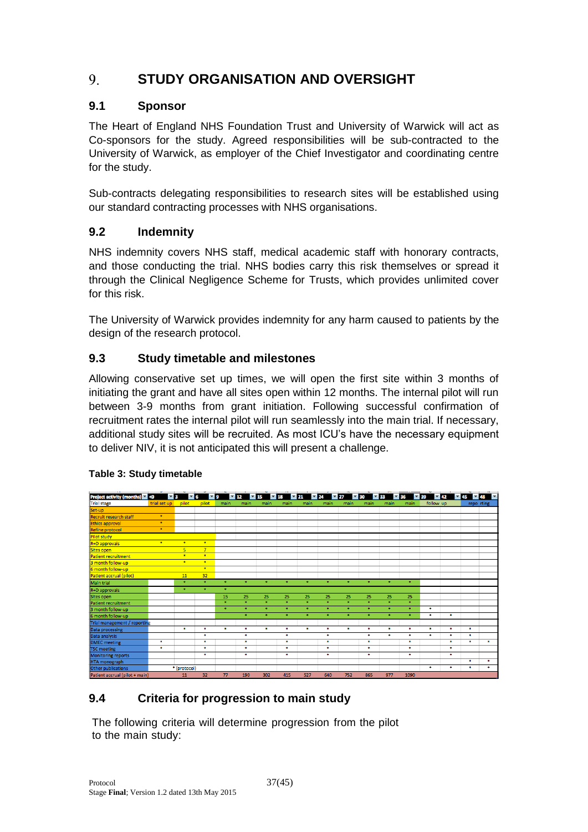#### <span id="page-36-0"></span>9. **STUDY ORGANISATION AND OVERSIGHT**

# <span id="page-36-1"></span>**9.1 Sponsor**

The Heart of England NHS Foundation Trust and University of Warwick will act as Co-sponsors for the study. Agreed responsibilities will be sub-contracted to the University of Warwick, as employer of the Chief Investigator and coordinating centre for the study.

Sub-contracts delegating responsibilities to research sites will be established using our standard contracting processes with NHS organisations.

# <span id="page-36-2"></span>**9.2 Indemnity**

NHS indemnity covers NHS staff, medical academic staff with honorary contracts, and those conducting the trial. NHS bodies carry this risk themselves or spread it through the Clinical Negligence Scheme for Trusts, which provides unlimited cover for this risk.

The University of Warwick provides indemnity for any harm caused to patients by the design of the research protocol.

# <span id="page-36-3"></span>**9.3 Study timetable and milestones**

Allowing conservative set up times, we will open the first site within 3 months of initiating the grant and have all sites open within 12 months. The internal pilot will run between 3-9 months from grant initiation. Following successful confirmation of recruitment rates the internal pilot will run seamlessly into the main trial. If necessary, additional study sites will be recruited. As most ICU's have the necessary equipment to deliver NIV, it is not anticipated this will present a challenge.



### <span id="page-36-5"></span>**Table 3: Study timetable**

# <span id="page-36-4"></span>**9.4 Criteria for progression to main study**

The following criteria will determine progression from the pilot to the main study: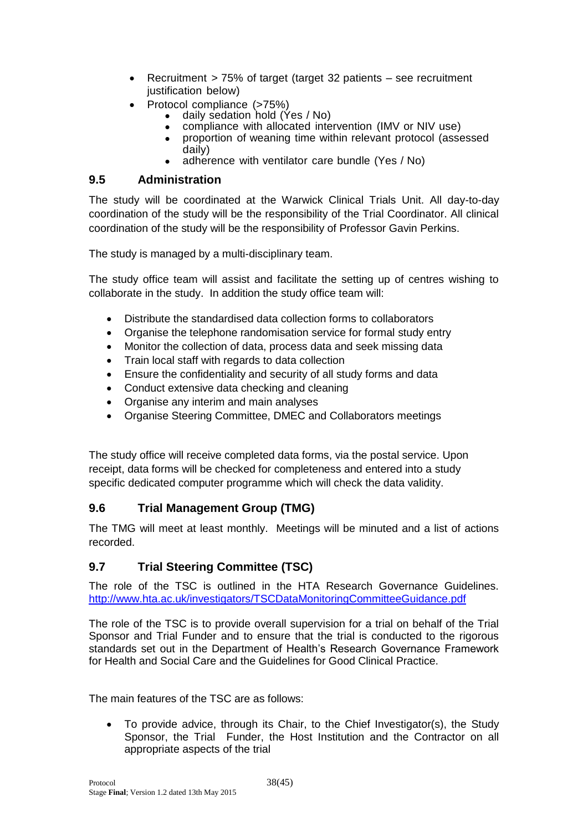- Recruitment > 75% of target (target 32 patients see recruitment justification below)
- Protocol compliance (>75%)
	- daily sedation hold (Yes / No)
	- compliance with allocated intervention (IMV or NIV use)
	- proportion of weaning time within relevant protocol (assessed daily)
	- adherence with ventilator care bundle (Yes / No)

### <span id="page-37-0"></span>**9.5 Administration**

The study will be coordinated at the Warwick Clinical Trials Unit. All day-to-day coordination of the study will be the responsibility of the Trial Coordinator. All clinical coordination of the study will be the responsibility of Professor Gavin Perkins.

The study is managed by a multi-disciplinary team.

The study office team will assist and facilitate the setting up of centres wishing to collaborate in the study. In addition the study office team will:

- Distribute the standardised data collection forms to collaborators
- Organise the telephone randomisation service for formal study entry
- Monitor the collection of data, process data and seek missing data
- Train local staff with regards to data collection
- Ensure the confidentiality and security of all study forms and data
- Conduct extensive data checking and cleaning
- Organise any interim and main analyses
- Organise Steering Committee, DMEC and Collaborators meetings

The study office will receive completed data forms, via the postal service. Upon receipt, data forms will be checked for completeness and entered into a study specific dedicated computer programme which will check the data validity.

### <span id="page-37-1"></span>**9.6 Trial Management Group (TMG)**

The TMG will meet at least monthly. Meetings will be minuted and a list of actions recorded.

### <span id="page-37-2"></span>**9.7 Trial Steering Committee (TSC)**

The role of the TSC is outlined in the HTA Research Governance Guidelines. <http://www.hta.ac.uk/investigators/TSCDataMonitoringCommitteeGuidance.pdf>

The role of the TSC is to provide overall supervision for a trial on behalf of the Trial Sponsor and Trial Funder and to ensure that the trial is conducted to the rigorous standards set out in the Department of Health's Research Governance Framework for Health and Social Care and the Guidelines for Good Clinical Practice.

The main features of the TSC are as follows:

 To provide advice, through its Chair, to the Chief Investigator(s), the Study Sponsor, the Trial Funder, the Host Institution and the Contractor on all appropriate aspects of the trial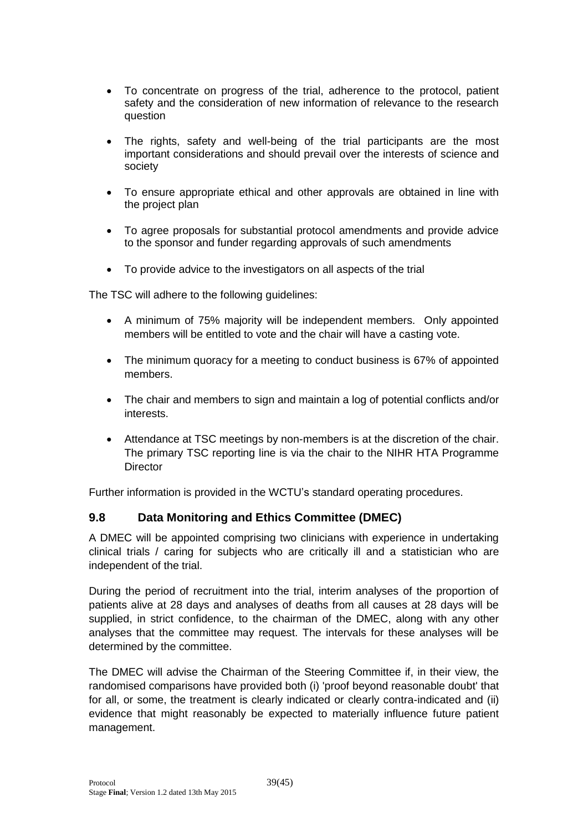- To concentrate on progress of the trial, adherence to the protocol, patient safety and the consideration of new information of relevance to the research question
- The rights, safety and well-being of the trial participants are the most important considerations and should prevail over the interests of science and society
- To ensure appropriate ethical and other approvals are obtained in line with the project plan
- To agree proposals for substantial protocol amendments and provide advice to the sponsor and funder regarding approvals of such amendments
- To provide advice to the investigators on all aspects of the trial

The TSC will adhere to the following guidelines:

- A minimum of 75% majority will be independent members. Only appointed members will be entitled to vote and the chair will have a casting vote.
- The minimum quoracy for a meeting to conduct business is 67% of appointed members.
- The chair and members to sign and maintain a log of potential conflicts and/or interests.
- Attendance at TSC meetings by non-members is at the discretion of the chair. The primary TSC reporting line is via the chair to the NIHR HTA Programme **Director**

Further information is provided in the WCTU's standard operating procedures.

### <span id="page-38-0"></span>**9.8 Data Monitoring and Ethics Committee (DMEC)**

A DMEC will be appointed comprising two clinicians with experience in undertaking clinical trials / caring for subjects who are critically ill and a statistician who are independent of the trial.

During the period of recruitment into the trial, interim analyses of the proportion of patients alive at 28 days and analyses of deaths from all causes at 28 days will be supplied, in strict confidence, to the chairman of the DMEC, along with any other analyses that the committee may request. The intervals for these analyses will be determined by the committee.

The DMEC will advise the Chairman of the Steering Committee if, in their view, the randomised comparisons have provided both (i) 'proof beyond reasonable doubt' that for all, or some, the treatment is clearly indicated or clearly contra-indicated and (ii) evidence that might reasonably be expected to materially influence future patient management.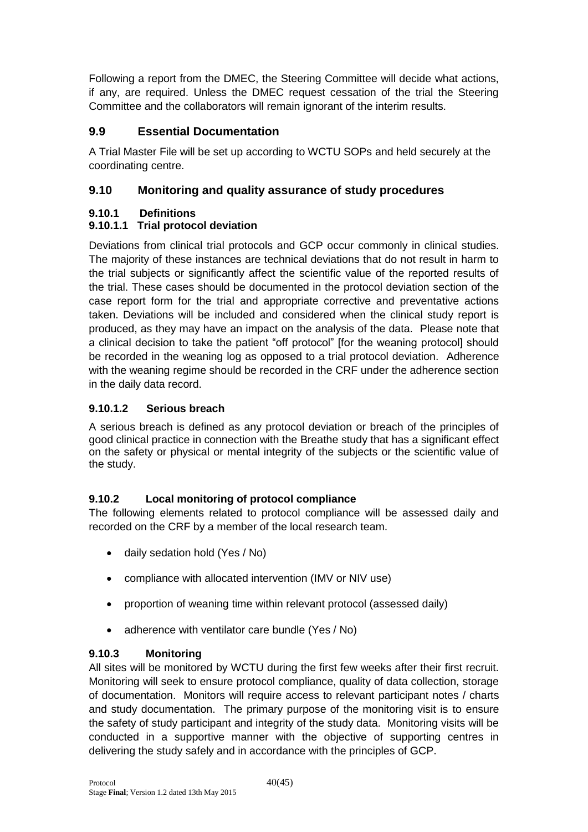Following a report from the DMEC, the Steering Committee will decide what actions, if any, are required. Unless the DMEC request cessation of the trial the Steering Committee and the collaborators will remain ignorant of the interim results.

# <span id="page-39-0"></span>**9.9 Essential Documentation**

A Trial Master File will be set up according to WCTU SOPs and held securely at the coordinating centre.

# <span id="page-39-1"></span>**9.10 Monitoring and quality assurance of study procedures**

# <span id="page-39-2"></span>**9.10.1 Definitions**

# **9.10.1.1 Trial protocol deviation**

Deviations from clinical trial protocols and GCP occur commonly in clinical studies. The majority of these instances are technical deviations that do not result in harm to the trial subjects or significantly affect the scientific value of the reported results of the trial. These cases should be documented in the protocol deviation section of the case report form for the trial and appropriate corrective and preventative actions taken. Deviations will be included and considered when the clinical study report is produced, as they may have an impact on the analysis of the data. Please note that a clinical decision to take the patient "off protocol" [for the weaning protocol] should be recorded in the weaning log as opposed to a trial protocol deviation. Adherence with the weaning regime should be recorded in the CRF under the adherence section in the daily data record.

# **9.10.1.2 Serious breach**

A serious breach is defined as any protocol deviation or breach of the principles of good clinical practice in connection with the Breathe study that has a significant effect on the safety or physical or mental integrity of the subjects or the scientific value of the study.

# <span id="page-39-3"></span>**9.10.2 Local monitoring of protocol compliance**

The following elements related to protocol compliance will be assessed daily and recorded on the CRF by a member of the local research team.

- daily sedation hold (Yes / No)
- compliance with allocated intervention (IMV or NIV use)
- proportion of weaning time within relevant protocol (assessed daily)
- adherence with ventilator care bundle (Yes / No)

### <span id="page-39-4"></span>**9.10.3 Monitoring**

All sites will be monitored by WCTU during the first few weeks after their first recruit. Monitoring will seek to ensure protocol compliance, quality of data collection, storage of documentation. Monitors will require access to relevant participant notes / charts and study documentation. The primary purpose of the monitoring visit is to ensure the safety of study participant and integrity of the study data. Monitoring visits will be conducted in a supportive manner with the objective of supporting centres in delivering the study safely and in accordance with the principles of GCP.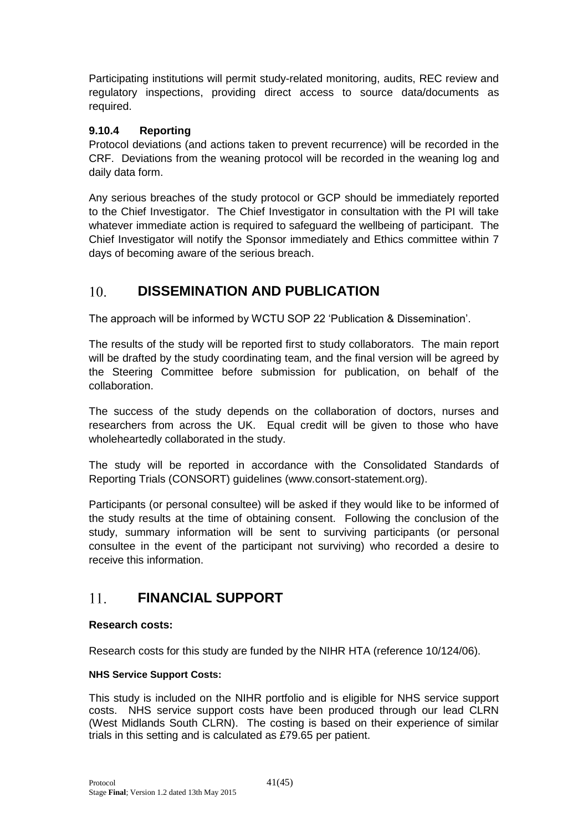Participating institutions will permit study-related monitoring, audits, REC review and regulatory inspections, providing direct access to source data/documents as required.

#### <span id="page-40-0"></span>**9.10.4 Reporting**

Protocol deviations (and actions taken to prevent recurrence) will be recorded in the CRF. Deviations from the weaning protocol will be recorded in the weaning log and daily data form.

Any serious breaches of the study protocol or GCP should be immediately reported to the Chief Investigator. The Chief Investigator in consultation with the PI will take whatever immediate action is required to safeguard the wellbeing of participant. The Chief Investigator will notify the Sponsor immediately and Ethics committee within 7 days of becoming aware of the serious breach.

#### <span id="page-40-1"></span>**DISSEMINATION AND PUBLICATION**  $10<sub>1</sub>$

The approach will be informed by WCTU SOP 22 'Publication & Dissemination'.

The results of the study will be reported first to study collaborators. The main report will be drafted by the study coordinating team, and the final version will be agreed by the Steering Committee before submission for publication, on behalf of the collaboration.

The success of the study depends on the collaboration of doctors, nurses and researchers from across the UK. Equal credit will be given to those who have wholeheartedly collaborated in the study.

The study will be reported in accordance with the Consolidated Standards of Reporting Trials (CONSORT) guidelines (www.consort-statement.org).

Participants (or personal consultee) will be asked if they would like to be informed of the study results at the time of obtaining consent. Following the conclusion of the study, summary information will be sent to surviving participants (or personal consultee in the event of the participant not surviving) who recorded a desire to receive this information.

#### <span id="page-40-2"></span> $11.$ **FINANCIAL SUPPORT**

#### **Research costs:**

Research costs for this study are funded by the NIHR HTA (reference 10/124/06).

#### **NHS Service Support Costs:**

This study is included on the NIHR portfolio and is eligible for NHS service support costs. NHS service support costs have been produced through our lead CLRN (West Midlands South CLRN). The costing is based on their experience of similar trials in this setting and is calculated as £79.65 per patient.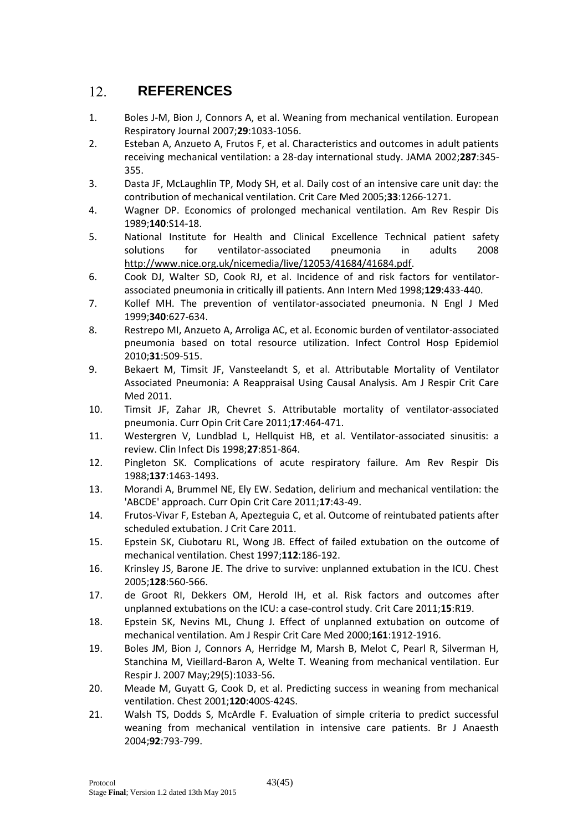#### <span id="page-42-0"></span> $12.$ **REFERENCES**

- 1. Boles J-M, Bion J, Connors A, et al. Weaning from mechanical ventilation. European Respiratory Journal 2007;**29**:1033-1056.
- 2. Esteban A, Anzueto A, Frutos F, et al. Characteristics and outcomes in adult patients receiving mechanical ventilation: a 28-day international study. JAMA 2002;**287**:345- 355.
- 3. Dasta JF, McLaughlin TP, Mody SH, et al. Daily cost of an intensive care unit day: the contribution of mechanical ventilation. Crit Care Med 2005;**33**:1266-1271.
- 4. Wagner DP. Economics of prolonged mechanical ventilation. Am Rev Respir Dis 1989;**140**:S14-18.
- 5. National Institute for Health and Clinical Excellence Technical patient safety solutions for ventilator-associated pneumonia in adults 2008 [http://www.nice.org.uk/nicemedia/live/12053/41684/41684.pdf.](http://www.nice.org.uk/nicemedia/live/12053/41684/41684.pdf)
- 6. Cook DJ, Walter SD, Cook RJ, et al. Incidence of and risk factors for ventilatorassociated pneumonia in critically ill patients. Ann Intern Med 1998;**129**:433-440.
- 7. Kollef MH. The prevention of ventilator-associated pneumonia. N Engl J Med 1999;**340**:627-634.
- 8. Restrepo MI, Anzueto A, Arroliga AC, et al. Economic burden of ventilator-associated pneumonia based on total resource utilization. Infect Control Hosp Epidemiol 2010;**31**:509-515.
- 9. Bekaert M, Timsit JF, Vansteelandt S, et al. Attributable Mortality of Ventilator Associated Pneumonia: A Reappraisal Using Causal Analysis. Am J Respir Crit Care Med 2011.
- 10. Timsit JF, Zahar JR, Chevret S. Attributable mortality of ventilator-associated pneumonia. Curr Opin Crit Care 2011;**17**:464-471.
- 11. Westergren V, Lundblad L, Hellquist HB, et al. Ventilator-associated sinusitis: a review. Clin Infect Dis 1998;**27**:851-864.
- 12. Pingleton SK. Complications of acute respiratory failure. Am Rev Respir Dis 1988;**137**:1463-1493.
- 13. Morandi A, Brummel NE, Ely EW. Sedation, delirium and mechanical ventilation: the 'ABCDE' approach. Curr Opin Crit Care 2011;**17**:43-49.
- 14. Frutos-Vivar F, Esteban A, Apezteguia C, et al. Outcome of reintubated patients after scheduled extubation. J Crit Care 2011.
- 15. Epstein SK, Ciubotaru RL, Wong JB. Effect of failed extubation on the outcome of mechanical ventilation. Chest 1997;**112**:186-192.
- 16. Krinsley JS, Barone JE. The drive to survive: unplanned extubation in the ICU. Chest 2005;**128**:560-566.
- 17. de Groot RI, Dekkers OM, Herold IH, et al. Risk factors and outcomes after unplanned extubations on the ICU: a case-control study. Crit Care 2011;**15**:R19.
- 18. Epstein SK, Nevins ML, Chung J. Effect of unplanned extubation on outcome of mechanical ventilation. Am J Respir Crit Care Med 2000;**161**:1912-1916.
- 19. Boles JM, Bion J, Connors A, Herridge M, Marsh B, Melot C, Pearl R, Silverman H, Stanchina M, Vieillard-Baron A, Welte T. Weaning from mechanical ventilation. Eur Respir J. 2007 May;29(5):1033-56.
- 20. Meade M, Guyatt G, Cook D, et al. Predicting success in weaning from mechanical ventilation. Chest 2001;**120**:400S-424S.
- 21. Walsh TS, Dodds S, McArdle F. Evaluation of simple criteria to predict successful weaning from mechanical ventilation in intensive care patients. Br J Anaesth 2004;**92**:793-799.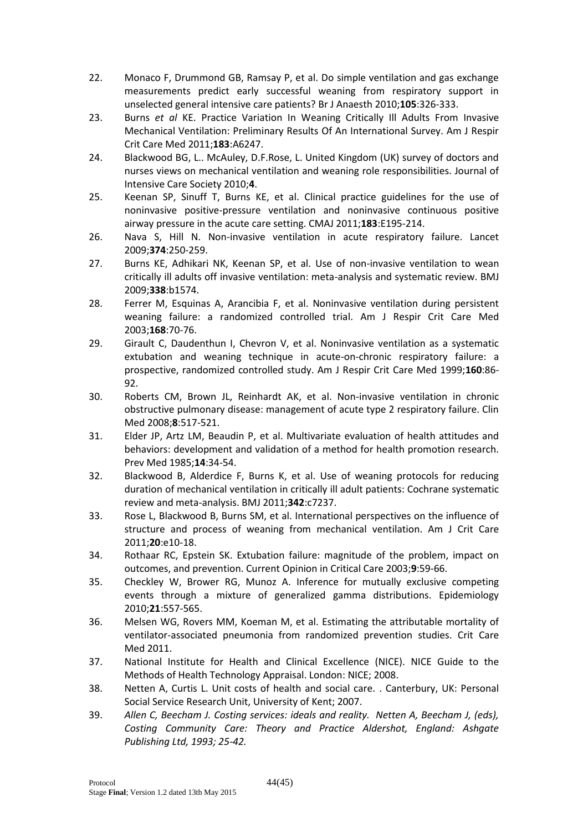- 22. Monaco F, Drummond GB, Ramsay P, et al. Do simple ventilation and gas exchange measurements predict early successful weaning from respiratory support in unselected general intensive care patients? Br J Anaesth 2010;**105**:326-333.
- 23. Burns *et al* KE. Practice Variation In Weaning Critically Ill Adults From Invasive Mechanical Ventilation: Preliminary Results Of An International Survey. Am J Respir Crit Care Med 2011;**183**:A6247.
- 24. Blackwood BG, L.. McAuley, D.F.Rose, L. United Kingdom (UK) survey of doctors and nurses views on mechanical ventilation and weaning role responsibilities. Journal of Intensive Care Society 2010;**4**.
- 25. Keenan SP, Sinuff T, Burns KE, et al. Clinical practice guidelines for the use of noninvasive positive-pressure ventilation and noninvasive continuous positive airway pressure in the acute care setting. CMAJ 2011;**183**:E195-214.
- 26. Nava S, Hill N. Non-invasive ventilation in acute respiratory failure. Lancet 2009;**374**:250-259.
- 27. Burns KE, Adhikari NK, Keenan SP, et al. Use of non-invasive ventilation to wean critically ill adults off invasive ventilation: meta-analysis and systematic review. BMJ 2009;**338**:b1574.
- 28. Ferrer M, Esquinas A, Arancibia F, et al. Noninvasive ventilation during persistent weaning failure: a randomized controlled trial. Am J Respir Crit Care Med 2003;**168**:70-76.
- 29. Girault C, Daudenthun I, Chevron V, et al. Noninvasive ventilation as a systematic extubation and weaning technique in acute-on-chronic respiratory failure: a prospective, randomized controlled study. Am J Respir Crit Care Med 1999;**160**:86- 92.
- 30. Roberts CM, Brown JL, Reinhardt AK, et al. Non-invasive ventilation in chronic obstructive pulmonary disease: management of acute type 2 respiratory failure. Clin Med 2008;**8**:517-521.
- 31. Elder JP, Artz LM, Beaudin P, et al. Multivariate evaluation of health attitudes and behaviors: development and validation of a method for health promotion research. Prev Med 1985;**14**:34-54.
- 32. Blackwood B, Alderdice F, Burns K, et al. Use of weaning protocols for reducing duration of mechanical ventilation in critically ill adult patients: Cochrane systematic review and meta-analysis. BMJ 2011;**342**:c7237.
- 33. Rose L, Blackwood B, Burns SM, et al. International perspectives on the influence of structure and process of weaning from mechanical ventilation. Am J Crit Care 2011;**20**:e10-18.
- 34. Rothaar RC, Epstein SK. Extubation failure: magnitude of the problem, impact on outcomes, and prevention. Current Opinion in Critical Care 2003;**9**:59-66.
- 35. Checkley W, Brower RG, Munoz A. Inference for mutually exclusive competing events through a mixture of generalized gamma distributions. Epidemiology 2010;**21**:557-565.
- 36. Melsen WG, Rovers MM, Koeman M, et al. Estimating the attributable mortality of ventilator-associated pneumonia from randomized prevention studies. Crit Care Med 2011.
- 37. National Institute for Health and Clinical Excellence (NICE). NICE Guide to the Methods of Health Technology Appraisal. London: NICE; 2008.
- 38. Netten A, Curtis L. Unit costs of health and social care. . Canterbury, UK: Personal Social Service Research Unit, University of Kent; 2007.
- 39. *Allen C, Beecham J. Costing services: ideals and reality. Netten A, Beecham J, (eds), Costing Community Care: Theory and Practice Aldershot, England: Ashgate Publishing Ltd, 1993; 25-42.*